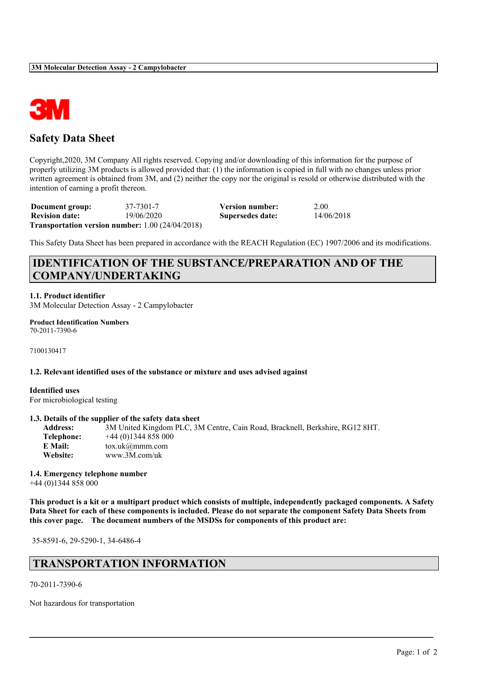

# **Safety Data Sheet**

Copyright,2020, 3M Company All rights reserved. Copying and/or downloading of this information for the purpose of properly utilizing 3M products is allowed provided that: (1) the information is copied in full with no changes unless prior written agreement is obtained from 3M, and (2) neither the copy nor the original is resold or otherwise distributed with the intention of earning a profit thereon.

**Document group:** 37-7301-7 **Version number:** 2.00 **Revision date:** 19/06/2020 **Supersedes date:** 14/06/2018 **Transportation version number:** 1.00 (24/04/2018)

This Safety Data Sheet has been prepared in accordance with the REACH Regulation (EC) 1907/2006 and its modifications.

# **IDENTIFICATION OF THE SUBSTANCE/PREPARATION AND OF THE COMPANY/UNDERTAKING**

**1.1. Product identifier**

3M Molecular Detection Assay - 2 Campylobacter

**Product Identification Numbers** 70-2011-7390-6

7100130417

#### **1.2. Relevant identified uses of the substance or mixture and uses advised against**

**Identified uses** For microbiological testing

#### **1.3. Details of the supplier of the safety data sheet**

**Address:** 3M United Kingdom PLC, 3M Centre, Cain Road, Bracknell, Berkshire, RG12 8HT. **Telephone:** +44 (0)1344 858 000 **E Mail:** tox.uk@mmm.com **Website:** www.3M.com/uk

#### **1.4. Emergency telephone number**

+44 (0)1344 858 000

This product is a kit or a multipart product which consists of multiple, independently packaged components. A Safety Data Sheet for each of these components is included. Please do not separate the component Safety Data Sheets from **this cover page. The document numbers of the MSDSs for components of this product are:**

 $\mathcal{L}_\mathcal{L} = \mathcal{L}_\mathcal{L} = \mathcal{L}_\mathcal{L} = \mathcal{L}_\mathcal{L} = \mathcal{L}_\mathcal{L} = \mathcal{L}_\mathcal{L} = \mathcal{L}_\mathcal{L} = \mathcal{L}_\mathcal{L} = \mathcal{L}_\mathcal{L} = \mathcal{L}_\mathcal{L} = \mathcal{L}_\mathcal{L} = \mathcal{L}_\mathcal{L} = \mathcal{L}_\mathcal{L} = \mathcal{L}_\mathcal{L} = \mathcal{L}_\mathcal{L} = \mathcal{L}_\mathcal{L} = \mathcal{L}_\mathcal{L}$ 

35-8591-6, 29-5290-1, 34-6486-4

# **TRANSPORTATION INFORMATION**

70-2011-7390-6

Not hazardous for transportation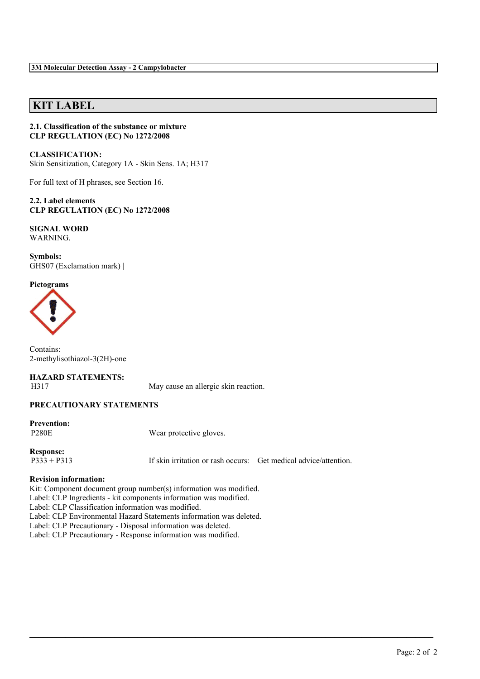# **KIT LABEL**

#### **2.1. Classification of the substance or mixture CLP REGULATION (EC) No 1272/2008**

**CLASSIFICATION:** Skin Sensitization, Category 1A - Skin Sens. 1A; H317

For full text of H phrases, see Section 16.

**2.2. Label elements CLP REGULATION (EC) No 1272/2008**

#### **SIGNAL WORD** WARNING.

**Symbols:** GHS07 (Exclamation mark) |

#### **Pictograms**



Contains: 2-methylisothiazol-3(2H)-one

# **HAZARD STATEMENTS:**

H317 May cause an allergic skin reaction.

#### **PRECAUTIONARY STATEMENTS**

**Prevention:**

P280E Wear protective gloves.

**Response:**

P333 + P313 If skin irritation or rash occurs: Get medical advice/attention.

 $\mathcal{L}_\mathcal{L} = \mathcal{L}_\mathcal{L} = \mathcal{L}_\mathcal{L} = \mathcal{L}_\mathcal{L} = \mathcal{L}_\mathcal{L} = \mathcal{L}_\mathcal{L} = \mathcal{L}_\mathcal{L} = \mathcal{L}_\mathcal{L} = \mathcal{L}_\mathcal{L} = \mathcal{L}_\mathcal{L} = \mathcal{L}_\mathcal{L} = \mathcal{L}_\mathcal{L} = \mathcal{L}_\mathcal{L} = \mathcal{L}_\mathcal{L} = \mathcal{L}_\mathcal{L} = \mathcal{L}_\mathcal{L} = \mathcal{L}_\mathcal{L}$ 

#### **Revision information:**

Kit: Component document group number(s) information was modified.

Label: CLP Ingredients - kit components information was modified.

Label: CLP Classification information was modified.

Label: CLP Environmental Hazard Statements information was deleted.

Label: CLP Precautionary - Disposal information was deleted.

Label: CLP Precautionary - Response information was modified.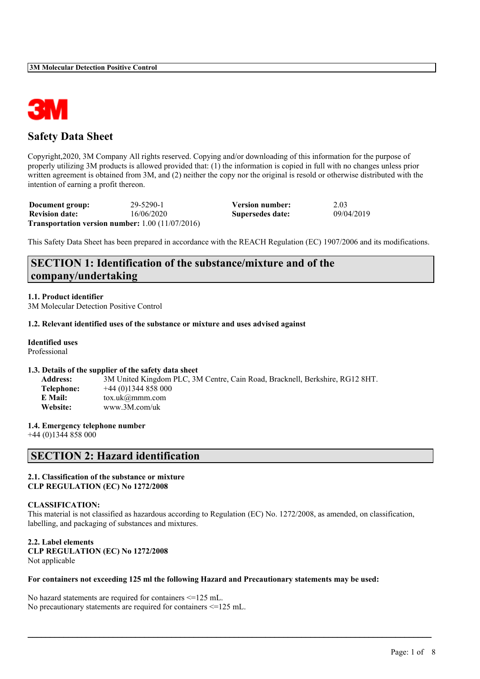

# **Safety Data Sheet**

Copyright,2020, 3M Company All rights reserved. Copying and/or downloading of this information for the purpose of properly utilizing 3M products is allowed provided that: (1) the information is copied in full with no changes unless prior written agreement is obtained from 3M, and (2) neither the copy nor the original is resold or otherwise distributed with the intention of earning a profit thereon.

| Document group:       | 29-5290-1                                                 | Version number:  | 2.03       |
|-----------------------|-----------------------------------------------------------|------------------|------------|
| <b>Revision date:</b> | 16/06/2020                                                | Supersedes date: | 09/04/2019 |
|                       | <b>Transportation version number:</b> $1.00 (11/07/2016)$ |                  |            |

This Safety Data Sheet has been prepared in accordance with the REACH Regulation (EC) 1907/2006 and its modifications.

# **SECTION 1: Identification of the substance/mixture and of the company/undertaking**

### **1.1. Product identifier**

3M Molecular Detection Positive Control

#### **1.2. Relevant identified uses of the substance or mixture and uses advised against**

### **Identified uses**

Professional

#### **1.3. Details of the supplier of the safety data sheet**

| <b>Address:</b> | 3M United Kingdom PLC, 3M Centre, Cain Road, Bracknell, Berkshire, RG12 8HT. |
|-----------------|------------------------------------------------------------------------------|
| Telephone:      | $+44(0)1344858000$                                                           |
| E Mail:         | $\text{tox.uk}(\omega \text{mmm.com})$                                       |
| <b>Website:</b> | www.3M.com/uk                                                                |

#### **1.4. Emergency telephone number**

+44 (0)1344 858 000

# **SECTION 2: Hazard identification**

#### **2.1. Classification of the substance or mixture CLP REGULATION (EC) No 1272/2008**

#### **CLASSIFICATION:**

This material is not classified as hazardous according to Regulation (EC) No. 1272/2008, as amended, on classification, labelling, and packaging of substances and mixtures.

 $\mathcal{L}_\mathcal{L} = \mathcal{L}_\mathcal{L} = \mathcal{L}_\mathcal{L} = \mathcal{L}_\mathcal{L} = \mathcal{L}_\mathcal{L} = \mathcal{L}_\mathcal{L} = \mathcal{L}_\mathcal{L} = \mathcal{L}_\mathcal{L} = \mathcal{L}_\mathcal{L} = \mathcal{L}_\mathcal{L} = \mathcal{L}_\mathcal{L} = \mathcal{L}_\mathcal{L} = \mathcal{L}_\mathcal{L} = \mathcal{L}_\mathcal{L} = \mathcal{L}_\mathcal{L} = \mathcal{L}_\mathcal{L} = \mathcal{L}_\mathcal{L}$ 

**2.2. Label elements CLP REGULATION (EC) No 1272/2008** Not applicable

#### **For containers not exceeding 125 ml the following Hazard and Precautionary statements may be used:**

No hazard statements are required for containers <=125 mL. No precautionary statements are required for containers <=125 mL.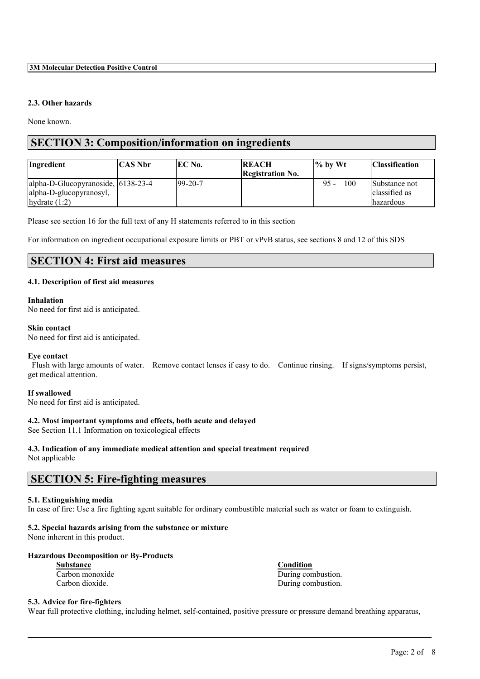#### **2.3. Other hazards**

None known.

# **SECTION 3: Composition/information on ingredients**

| Ingredient                         | <b>CAS Nbr</b> | IEC No.        | <b>REACH</b><br><b>Registration No.</b> | $\frac{1}{6}$ by Wt | <b>Classification</b> |
|------------------------------------|----------------|----------------|-----------------------------------------|---------------------|-----------------------|
| alpha-D-Glucopyranoside, 6138-23-4 |                | $199 - 20 - 7$ |                                         | 100<br>$95 -$       | Substance not         |
| alpha-D-glucopyranosyl,            |                |                |                                         |                     | classified as         |
| hydrate $(1:2)$                    |                |                |                                         |                     | <i>hazardous</i>      |

Please see section 16 for the full text of any H statements referred to in this section

For information on ingredient occupational exposure limits or PBT or vPvB status, see sections 8 and 12 of this SDS

# **SECTION 4: First aid measures**

#### **4.1. Description of first aid measures**

#### **Inhalation**

No need for first aid is anticipated.

#### **Skin contact**

No need for first aid is anticipated.

#### **Eye contact**

Flush with large amounts of water. Remove contact lenses if easy to do. Continue rinsing. If signs/symptoms persist, get medical attention.

#### **If swallowed**

No need for first aid is anticipated.

#### **4.2. Most important symptoms and effects, both acute and delayed**

See Section 11.1 Information on toxicological effects

#### **4.3. Indication of any immediate medical attention and special treatment required**

Not applicable

# **SECTION 5: Fire-fighting measures**

### **5.1. Extinguishing media**

In case of fire: Use a fire fighting agent suitable for ordinary combustible material such as water or foam to extinguish.

### **5.2. Special hazards arising from the substance or mixture**

None inherent in this product.

### **Hazardous Decomposition or By-Products**

**Substance Condition**

Carbon monoxide During combustion. Carbon dioxide. During combustion.

### **5.3. Advice for fire-fighters**

Wear full protective clothing, including helmet, self-contained, positive pressure or pressure demand breathing apparatus,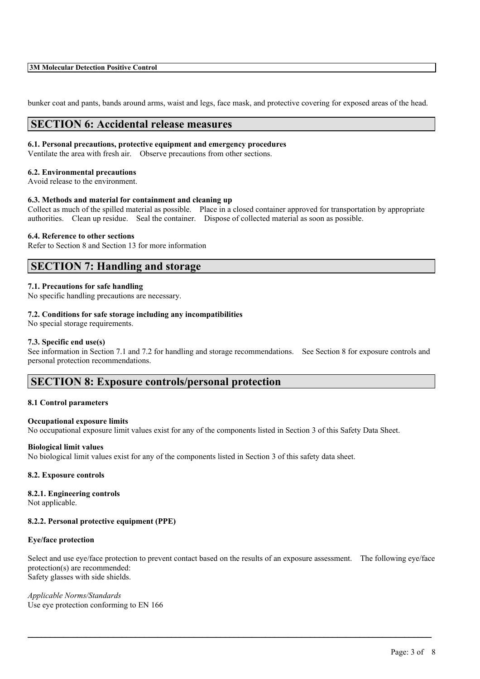#### **3M Molecular Detection Positive Control**

bunker coat and pants, bands around arms, waist and legs, face mask, and protective covering for exposed areas of the head.

### **SECTION 6: Accidental release measures**

#### **6.1. Personal precautions, protective equipment and emergency procedures**

Ventilate the area with fresh air. Observe precautions from other sections.

#### **6.2. Environmental precautions**

Avoid release to the environment.

#### **6.3. Methods and material for containment and cleaning up**

Collect as much of the spilled material as possible. Place in a closed container approved for transportation by appropriate authorities. Clean up residue. Seal the container. Dispose of collected material as soon as possible.

#### **6.4. Reference to other sections**

Refer to Section 8 and Section 13 for more information

### **SECTION 7: Handling and storage**

#### **7.1. Precautions for safe handling**

No specific handling precautions are necessary.

#### **7.2. Conditions for safe storage including any incompatibilities**

No special storage requirements.

#### **7.3. Specific end use(s)**

See information in Section 7.1 and 7.2 for handling and storage recommendations. See Section 8 for exposure controls and personal protection recommendations.

### **SECTION 8: Exposure controls/personal protection**

#### **8.1 Control parameters**

#### **Occupational exposure limits**

No occupational exposure limit values exist for any of the components listed in Section 3 of this Safety Data Sheet.

#### **Biological limit values**

No biological limit values exist for any of the components listed in Section 3 of this safety data sheet.

#### **8.2. Exposure controls**

#### **8.2.1. Engineering controls**

Not applicable.

#### **8.2.2. Personal protective equipment (PPE)**

#### **Eye/face protection**

Select and use eye/face protection to prevent contact based on the results of an exposure assessment. The following eye/face protection(s) are recommended: Safety glasses with side shields.

 $\mathcal{L}_\mathcal{L} = \mathcal{L}_\mathcal{L} = \mathcal{L}_\mathcal{L} = \mathcal{L}_\mathcal{L} = \mathcal{L}_\mathcal{L} = \mathcal{L}_\mathcal{L} = \mathcal{L}_\mathcal{L} = \mathcal{L}_\mathcal{L} = \mathcal{L}_\mathcal{L} = \mathcal{L}_\mathcal{L} = \mathcal{L}_\mathcal{L} = \mathcal{L}_\mathcal{L} = \mathcal{L}_\mathcal{L} = \mathcal{L}_\mathcal{L} = \mathcal{L}_\mathcal{L} = \mathcal{L}_\mathcal{L} = \mathcal{L}_\mathcal{L}$ 

*Applicable Norms/Standards* Use eye protection conforming to EN 166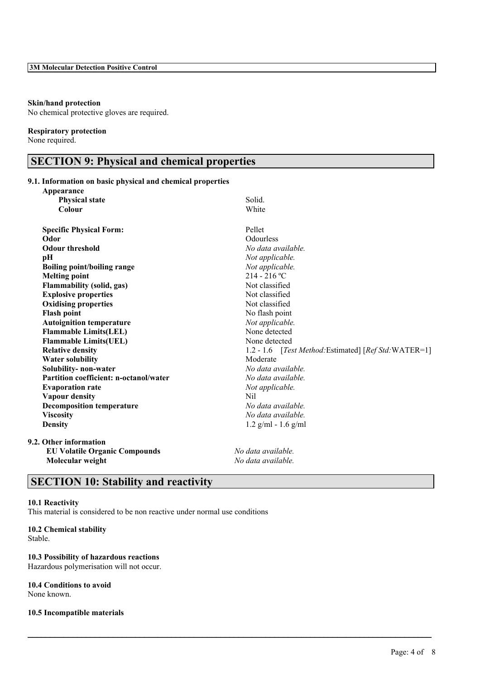#### **Skin/hand protection**

No chemical protective gloves are required.

#### **Respiratory protection**

None required.

# **SECTION 9: Physical and chemical properties**

### **9.1. Information on basic physical and chemical properties**

| Appearance                                    |                                                       |
|-----------------------------------------------|-------------------------------------------------------|
| <b>Physical state</b>                         | Solid.                                                |
| Colour                                        | White                                                 |
| <b>Specific Physical Form:</b>                | Pellet                                                |
| Odor                                          | Odourless                                             |
| <b>Odour threshold</b>                        | No data available.                                    |
| pH                                            | Not applicable.                                       |
| <b>Boiling point/boiling range</b>            | Not applicable.                                       |
| <b>Melting point</b>                          | $214 - 216$ °C                                        |
| <b>Flammability (solid, gas)</b>              | Not classified                                        |
| <b>Explosive properties</b>                   | Not classified                                        |
| <b>Oxidising properties</b>                   | Not classified                                        |
| <b>Flash point</b>                            | No flash point                                        |
| <b>Autoignition temperature</b>               | Not applicable.                                       |
| <b>Flammable Limits(LEL)</b>                  | None detected                                         |
| <b>Flammable Limits(UEL)</b>                  | None detected                                         |
| <b>Relative density</b>                       | 1.2 - 1.6 [Test Method: Estimated] [Ref Std: WATER=1] |
| <b>Water solubility</b>                       | Moderate                                              |
| Solubility-non-water                          | No data available.                                    |
| <b>Partition coefficient: n-octanol/water</b> | No data available.                                    |
| <b>Evaporation rate</b>                       | Not applicable.                                       |
| Vapour density                                | <b>Nil</b>                                            |
| <b>Decomposition temperature</b>              | No data available.                                    |
| <b>Viscosity</b>                              | No data available.                                    |
| <b>Density</b>                                | $1.2$ g/ml - 1.6 g/ml                                 |
| 9.2. Other information                        |                                                       |
| <b>EU Volatile Organic Compounds</b>          | No data available.                                    |
| Molecular weight                              | No data available.                                    |

 $\mathcal{L}_\mathcal{L} = \mathcal{L}_\mathcal{L} = \mathcal{L}_\mathcal{L} = \mathcal{L}_\mathcal{L} = \mathcal{L}_\mathcal{L} = \mathcal{L}_\mathcal{L} = \mathcal{L}_\mathcal{L} = \mathcal{L}_\mathcal{L} = \mathcal{L}_\mathcal{L} = \mathcal{L}_\mathcal{L} = \mathcal{L}_\mathcal{L} = \mathcal{L}_\mathcal{L} = \mathcal{L}_\mathcal{L} = \mathcal{L}_\mathcal{L} = \mathcal{L}_\mathcal{L} = \mathcal{L}_\mathcal{L} = \mathcal{L}_\mathcal{L}$ 

# **SECTION 10: Stability and reactivity**

### **10.1 Reactivity**

This material is considered to be non reactive under normal use conditions

#### **10.2 Chemical stability** Stable.

# **10.3 Possibility of hazardous reactions**

Hazardous polymerisation will not occur.

# **10.4 Conditions to avoid**

None known.

#### **10.5 Incompatible materials**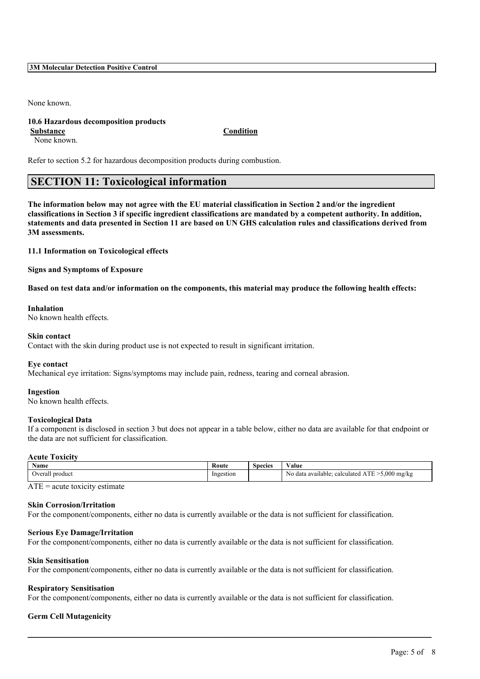#### **3M Molecular Detection Positive Control**

None known.

#### **10.6 Hazardous decomposition products Substance Condition**

None known.

Refer to section 5.2 for hazardous decomposition products during combustion.

# **SECTION 11: Toxicological information**

The information below may not agree with the EU material classification in Section 2 and/or the ingredient classifications in Section 3 if specific ingredient classifications are mandated by a competent authority. In addition, statements and data presented in Section 11 are based on UN GHS calculation rules and classifications derived from **3M assessments.**

**11.1 Information on Toxicological effects**

**Signs and Symptoms of Exposure**

Based on test data and/or information on the components, this material may produce the following health effects:

#### **Inhalation**

No known health effects.

#### **Skin contact**

Contact with the skin during product use is not expected to result in significant irritation.

#### **Eye contact**

Mechanical eye irritation: Signs/symptoms may include pain, redness, tearing and corneal abrasion.

#### **Ingestion**

No known health effects.

#### **Toxicological Data**

If a component is disclosed in section 3 but does not appear in a table below, either no data are available for that endpoint or the data are not sufficient for classification.

#### **Acute Toxicity**

| Name                          | <b>Route</b>    | species | $\mathbf{v}$<br>⁄ alue                                   |
|-------------------------------|-----------------|---------|----------------------------------------------------------|
| hveral<br>product<br>ra i<br> | 2estion<br>Ing. |         | .000<br>mg/kg<br>N0<br>available<br>data :<br>calculated |

 $ATE = acute$  toxicity estimate

#### **Skin Corrosion/Irritation**

For the component/components, either no data is currently available or the data is not sufficient for classification.

#### **Serious Eye Damage/Irritation**

For the component/components, either no data is currently available or the data is not sufficient for classification.

#### **Skin Sensitisation**

For the component/components, either no data is currently available or the data is not sufficient for classification.

#### **Respiratory Sensitisation**

For the component/components, either no data is currently available or the data is not sufficient for classification.

 $\mathcal{L}_\mathcal{L} = \mathcal{L}_\mathcal{L} = \mathcal{L}_\mathcal{L} = \mathcal{L}_\mathcal{L} = \mathcal{L}_\mathcal{L} = \mathcal{L}_\mathcal{L} = \mathcal{L}_\mathcal{L} = \mathcal{L}_\mathcal{L} = \mathcal{L}_\mathcal{L} = \mathcal{L}_\mathcal{L} = \mathcal{L}_\mathcal{L} = \mathcal{L}_\mathcal{L} = \mathcal{L}_\mathcal{L} = \mathcal{L}_\mathcal{L} = \mathcal{L}_\mathcal{L} = \mathcal{L}_\mathcal{L} = \mathcal{L}_\mathcal{L}$ 

#### **Germ Cell Mutagenicity**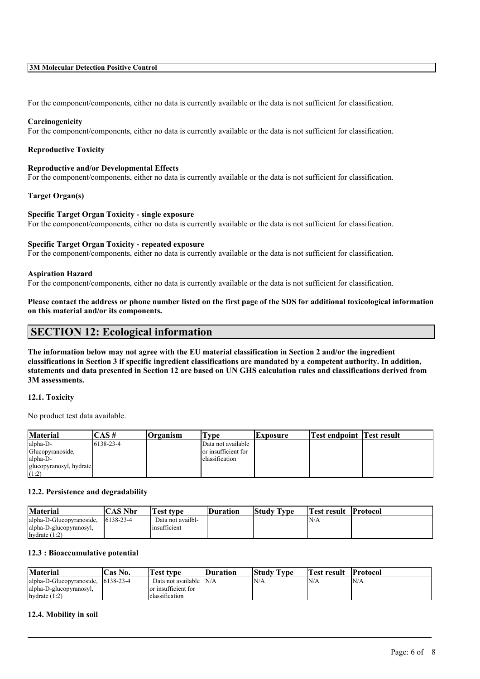#### **3M Molecular Detection Positive Control**

For the component/components, either no data is currently available or the data is not sufficient for classification.

#### **Carcinogenicity**

For the component/components, either no data is currently available or the data is not sufficient for classification.

#### **Reproductive Toxicity**

#### **Reproductive and/or Developmental Effects**

For the component/components, either no data is currently available or the data is not sufficient for classification.

#### **Target Organ(s)**

#### **Specific Target Organ Toxicity - single exposure**

For the component/components, either no data is currently available or the data is not sufficient for classification.

#### **Specific Target Organ Toxicity - repeated exposure**

For the component/components, either no data is currently available or the data is not sufficient for classification.

#### **Aspiration Hazard**

For the component/components, either no data is currently available or the data is not sufficient for classification.

Please contact the address or phone number listed on the first page of the SDS for additional toxicological information **on this material and/or its components.**

### **SECTION 12: Ecological information**

The information below may not agree with the EU material classification in Section 2 and/or the ingredient classifications in Section 3 if specific ingredient classifications are mandated by a competent authority. In addition, statements and data presented in Section 12 are based on UN GHS calculation rules and classifications derived from **3M assessments.**

#### **12.1. Toxicity**

No product test data available.

| Material                | :AS#             | <b>Organism</b> | i vpe               | <b>Exposure</b> | <b>Test endpoint Test result</b> |  |
|-------------------------|------------------|-----------------|---------------------|-----------------|----------------------------------|--|
| alpha-D-                | $16138 - 23 - 4$ |                 | Data not available  |                 |                                  |  |
| Glucopyranoside,        |                  |                 | or insufficient for |                 |                                  |  |
| alpha-D-                |                  |                 | classification      |                 |                                  |  |
| glucopyranosyl, hydrate |                  |                 |                     |                 |                                  |  |
| (1:2)                   |                  |                 |                     |                 |                                  |  |

#### **12.2. Persistence and degradability**

| <b>Material</b>          | CAS Nbr          | <b>Test type</b>  | <b>Duration</b> | <b>Study Type</b> | Test result | <b>Protocol</b> |
|--------------------------|------------------|-------------------|-----------------|-------------------|-------------|-----------------|
| alpha-D-Glucopyranoside. | $16138 - 23 - 4$ | Data not availbl- |                 |                   | N/A         |                 |
| alpha-D-glucopyranosyl,  |                  | insufficient      |                 |                   |             |                 |
| hydrate $(1:2)$          |                  |                   |                 |                   |             |                 |

### **12.3 : Bioaccumulative potential**

| <b>Material</b>          | Cas No.          | rest type              | Duration | <b>Study Type</b> | Test result | <b>Protocol</b> |
|--------------------------|------------------|------------------------|----------|-------------------|-------------|-----------------|
| alpha-D-Glucopyranoside, | $16138 - 23 - 4$ | Data not available N/A |          | N/A               | 'N/A        | N/A             |
| alpha-D-glucopyranosyl,  |                  | or insufficient for    |          |                   |             |                 |
| hydrate $(1:2)$          |                  | classification         |          |                   |             |                 |

 $\mathcal{L}_\mathcal{L} = \mathcal{L}_\mathcal{L} = \mathcal{L}_\mathcal{L} = \mathcal{L}_\mathcal{L} = \mathcal{L}_\mathcal{L} = \mathcal{L}_\mathcal{L} = \mathcal{L}_\mathcal{L} = \mathcal{L}_\mathcal{L} = \mathcal{L}_\mathcal{L} = \mathcal{L}_\mathcal{L} = \mathcal{L}_\mathcal{L} = \mathcal{L}_\mathcal{L} = \mathcal{L}_\mathcal{L} = \mathcal{L}_\mathcal{L} = \mathcal{L}_\mathcal{L} = \mathcal{L}_\mathcal{L} = \mathcal{L}_\mathcal{L}$ 

#### **12.4. Mobility in soil**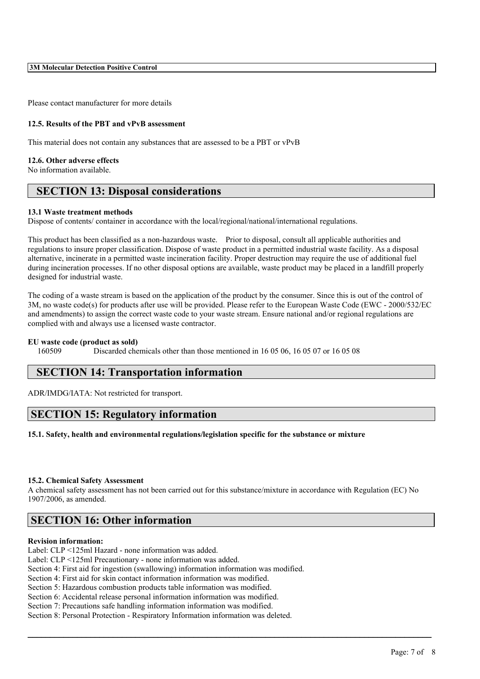Please contact manufacturer for more details

#### **12.5. Results of the PBT and vPvB assessment**

This material does not contain any substances that are assessed to be a PBT or vPvB

#### **12.6. Other adverse effects**

No information available.

# **SECTION 13: Disposal considerations**

#### **13.1 Waste treatment methods**

Dispose of contents/ container in accordance with the local/regional/national/international regulations.

This product has been classified as a non-hazardous waste. Prior to disposal, consult all applicable authorities and regulations to insure proper classification. Dispose of waste product in a permitted industrial waste facility. As a disposal alternative, incinerate in a permitted waste incineration facility. Proper destruction may require the use of additional fuel during incineration processes. If no other disposal options are available, waste product may be placed in a landfill properly designed for industrial waste.

The coding of a waste stream is based on the application of the product by the consumer. Since this is out of the control of 3M, no waste code(s) for products after use will be provided. Please refer to the European Waste Code (EWC - 2000/532/EC and amendments) to assign the correct waste code to your waste stream. Ensure national and/or regional regulations are complied with and always use a licensed waste contractor.

#### **EU waste code (product as sold)**

160509 Discarded chemicals other than those mentioned in 16 05 06, 16 05 07 or 16 05 08

### **SECTION 14: Transportation information**

ADR/IMDG/IATA: Not restricted for transport.

# **SECTION 15: Regulatory information**

#### **15.1. Safety, health and environmental regulations/legislation specific for the substance or mixture**

#### **15.2. Chemical Safety Assessment**

A chemical safety assessment has not been carried out for this substance/mixture in accordance with Regulation (EC) No 1907/2006, as amended.

 $\mathcal{L}_\mathcal{L} = \mathcal{L}_\mathcal{L} = \mathcal{L}_\mathcal{L} = \mathcal{L}_\mathcal{L} = \mathcal{L}_\mathcal{L} = \mathcal{L}_\mathcal{L} = \mathcal{L}_\mathcal{L} = \mathcal{L}_\mathcal{L} = \mathcal{L}_\mathcal{L} = \mathcal{L}_\mathcal{L} = \mathcal{L}_\mathcal{L} = \mathcal{L}_\mathcal{L} = \mathcal{L}_\mathcal{L} = \mathcal{L}_\mathcal{L} = \mathcal{L}_\mathcal{L} = \mathcal{L}_\mathcal{L} = \mathcal{L}_\mathcal{L}$ 

# **SECTION 16: Other information**

#### **Revision information:**

Label: CLP <125ml Hazard - none information was added.

Label: CLP <125ml Precautionary - none information was added.

Section 4: First aid for ingestion (swallowing) information information was modified.

Section 4: First aid for skin contact information information was modified.

Section 5: Hazardous combustion products table information was modified.

Section 6: Accidental release personal information information was modified.

Section 7: Precautions safe handling information information was modified.

Section 8: Personal Protection - Respiratory Information information was deleted.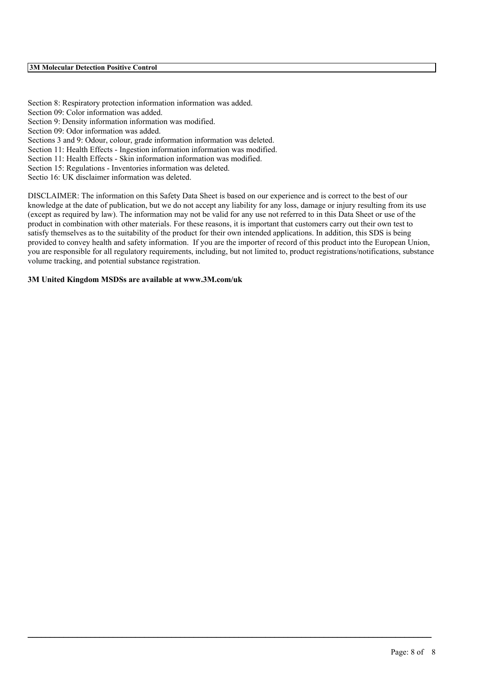Section 8: Respiratory protection information information was added. Section 09: Color information was added. Section 9: Density information information was modified. Section 09: Odor information was added. Sections 3 and 9: Odour, colour, grade information information was deleted. Section 11: Health Effects - Ingestion information information was modified. Section 11: Health Effects - Skin information information was modified. Section 15: Regulations - Inventories information was deleted.

Sectio 16: UK disclaimer information was deleted.

DISCLAIMER: The information on this Safety Data Sheet is based on our experience and is correct to the best of our knowledge at the date of publication, but we do not accept any liability for any loss, damage or injury resulting from its use (except as required by law). The information may not be valid for any use not referred to in this Data Sheet or use of the product in combination with other materials. For these reasons, it is important that customers carry out their own test to satisfy themselves as to the suitability of the product for their own intended applications. In addition, this SDS is being provided to convey health and safety information. If you are the importer of record of this product into the European Union, you are responsible for all regulatory requirements, including, but not limited to, product registrations/notifications, substance volume tracking, and potential substance registration.

 $\mathcal{L}_\mathcal{L} = \mathcal{L}_\mathcal{L} = \mathcal{L}_\mathcal{L} = \mathcal{L}_\mathcal{L} = \mathcal{L}_\mathcal{L} = \mathcal{L}_\mathcal{L} = \mathcal{L}_\mathcal{L} = \mathcal{L}_\mathcal{L} = \mathcal{L}_\mathcal{L} = \mathcal{L}_\mathcal{L} = \mathcal{L}_\mathcal{L} = \mathcal{L}_\mathcal{L} = \mathcal{L}_\mathcal{L} = \mathcal{L}_\mathcal{L} = \mathcal{L}_\mathcal{L} = \mathcal{L}_\mathcal{L} = \mathcal{L}_\mathcal{L}$ 

#### **3M United Kingdom MSDSs are available at www.3M.com/uk**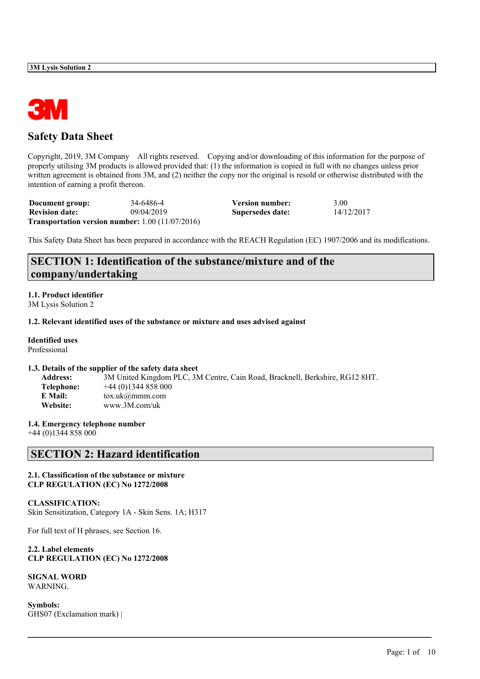

# **Safety Data Sheet**

Copyright, 2019, 3M Company All rights reserved. Copying and/or downloading of this information for the purpose of properly utilising 3M products is allowed provided that: (1) the information is copied in full with no changes unless prior written agreement is obtained from 3M, and (2) neither the copy nor the original is resold or otherwise distributed with the intention of earning a profit thereon.

| Document group:       | 34-6486-4                                                 | Version number:  | 3.00       |
|-----------------------|-----------------------------------------------------------|------------------|------------|
| <b>Revision date:</b> | 09/04/2019                                                | Supersedes date: | 14/12/2017 |
|                       | <b>Transportation version number:</b> $1.00 (11/07/2016)$ |                  |            |

This Safety Data Sheet has been prepared in accordance with the REACH Regulation (EC) 1907/2006 and its modifications.

# **SECTION 1: Identification of the substance/mixture and of the company/undertaking**

#### **1.1. Product identifier** 3M Lysis Solution 2

#### **1.2. Relevant identified uses of the substance or mixture and uses advised against**

**Identified uses** Professional

#### **1.3. Details of the supplier of the safety data sheet**

| 3M United Kingdom PLC, 3M Centre, Cain Road, Bracknell, Berkshire, RG12 8HT. |
|------------------------------------------------------------------------------|
| $+44(0)1344858000$                                                           |
| $\text{tox.uk}(\omega \text{mmm.com})$                                       |
| www.3M.com/uk                                                                |
|                                                                              |

 $\mathcal{L}_\mathcal{L} = \mathcal{L}_\mathcal{L} = \mathcal{L}_\mathcal{L} = \mathcal{L}_\mathcal{L} = \mathcal{L}_\mathcal{L} = \mathcal{L}_\mathcal{L} = \mathcal{L}_\mathcal{L} = \mathcal{L}_\mathcal{L} = \mathcal{L}_\mathcal{L} = \mathcal{L}_\mathcal{L} = \mathcal{L}_\mathcal{L} = \mathcal{L}_\mathcal{L} = \mathcal{L}_\mathcal{L} = \mathcal{L}_\mathcal{L} = \mathcal{L}_\mathcal{L} = \mathcal{L}_\mathcal{L} = \mathcal{L}_\mathcal{L}$ 

#### **1.4. Emergency telephone number**

+44 (0)1344 858 000

# **SECTION 2: Hazard identification**

#### **2.1. Classification of the substance or mixture CLP REGULATION (EC) No 1272/2008**

#### **CLASSIFICATION:** Skin Sensitization, Category 1A - Skin Sens. 1A; H317

For full text of H phrases, see Section 16.

#### **2.2. Label elements CLP REGULATION (EC) No 1272/2008**

**SIGNAL WORD** WARNING.

**Symbols:** GHS07 (Exclamation mark) |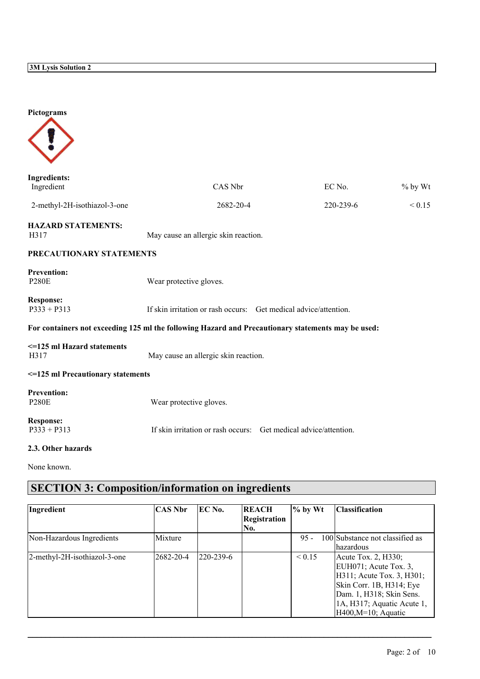| Pictograms                                                                                         |                                                                  |  |           |         |  |  |
|----------------------------------------------------------------------------------------------------|------------------------------------------------------------------|--|-----------|---------|--|--|
| <b>Ingredients:</b><br>Ingredient                                                                  | CAS Nbr                                                          |  | EC No.    | % by Wt |  |  |
| 2-methyl-2H-isothiazol-3-one                                                                       | 2682-20-4                                                        |  | 220-239-6 | < 0.15  |  |  |
| <b>HAZARD STATEMENTS:</b><br>H317                                                                  | May cause an allergic skin reaction.                             |  |           |         |  |  |
| PRECAUTIONARY STATEMENTS                                                                           |                                                                  |  |           |         |  |  |
| <b>Prevention:</b><br><b>P280E</b>                                                                 | Wear protective gloves.                                          |  |           |         |  |  |
| <b>Response:</b><br>$P333 + P313$                                                                  | If skin irritation or rash occurs: Get medical advice/attention. |  |           |         |  |  |
| For containers not exceeding 125 ml the following Hazard and Precautionary statements may be used: |                                                                  |  |           |         |  |  |
| <= 125 ml Hazard statements<br>H317                                                                | May cause an allergic skin reaction.                             |  |           |         |  |  |
| <= 125 ml Precautionary statements                                                                 |                                                                  |  |           |         |  |  |
| <b>Prevention:</b><br><b>P280E</b>                                                                 | Wear protective gloves.                                          |  |           |         |  |  |
| <b>Response:</b><br>$P333 + P313$                                                                  | If skin irritation or rash occurs: Get medical advice/attention. |  |           |         |  |  |
| 2.3. Other hazards                                                                                 |                                                                  |  |           |         |  |  |

None known.

# **SECTION 3: Composition/information on ingredients**

| Ingredient                   | <b>CAS Nbr</b>    | EC No.    | <b>REACH</b><br>Registration<br> No. | $\%$ by Wt  | <b>Classification</b>                                                                                                                                                                        |
|------------------------------|-------------------|-----------|--------------------------------------|-------------|----------------------------------------------------------------------------------------------------------------------------------------------------------------------------------------------|
| Non-Hazardous Ingredients    | Mixture           |           |                                      | $95 -$      | 100 Substance not classified as<br>lhazardous                                                                                                                                                |
| 2-methyl-2H-isothiazol-3-one | $ 2682 - 20 - 4 $ | 220-239-6 |                                      | ${}_{0.15}$ | Acute Tox. 2, H330;<br>EUH071; Acute Tox. $3$ ,<br>H311; Acute Tox. 3, H301;<br>Skin Corr. 1B, H314; Eye<br>Dam. 1, H318; Skin Sens.<br>1A, H317; Aquatic Acute 1,<br>$H400, M=10$ ; Aquatic |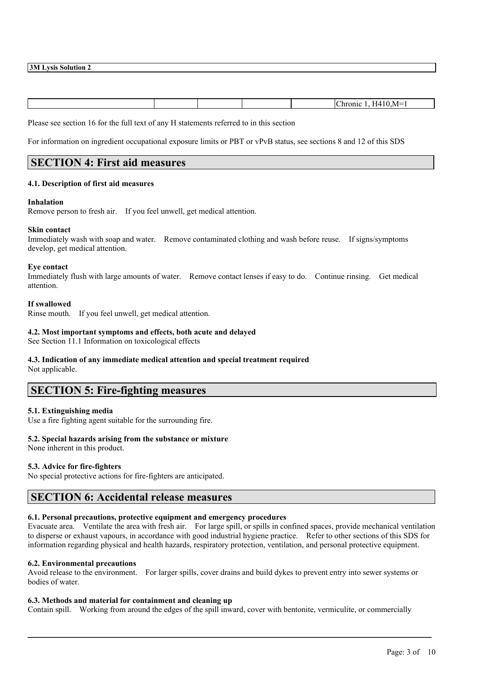|  |  | ∽<br>. M=<br>$\overline{\phantom{a}}$ |
|--|--|---------------------------------------|

Please see section 16 for the full text of any H statements referred to in this section

For information on ingredient occupational exposure limits or PBT or vPvB status, see sections 8 and 12 of this SDS

### **SECTION 4: First aid measures**

#### **4.1. Description of first aid measures**

#### **Inhalation**

Remove person to fresh air. If you feel unwell, get medical attention.

#### **Skin contact**

Immediately wash with soap and water. Remove contaminated clothing and wash before reuse. If signs/symptoms develop, get medical attention.

#### **Eye contact**

Immediately flush with large amounts of water. Remove contact lenses if easy to do. Continue rinsing. Get medical attention.

#### **If swallowed**

Rinse mouth. If you feel unwell, get medical attention.

#### **4.2. Most important symptoms and effects, both acute and delayed**

See Section 11.1 Information on toxicological effects

#### **4.3. Indication of any immediate medical attention and special treatment required** Not applicable.

# **SECTION 5: Fire-fighting measures**

#### **5.1. Extinguishing media**

Use a fire fighting agent suitable for the surrounding fire.

#### **5.2. Special hazards arising from the substance or mixture**

None inherent in this product.

#### **5.3. Advice for fire-fighters**

No special protective actions for fire-fighters are anticipated.

### **SECTION 6: Accidental release measures**

#### **6.1. Personal precautions, protective equipment and emergency procedures**

Evacuate area. Ventilate the area with fresh air. For large spill, or spills in confined spaces, provide mechanical ventilation to disperse or exhaust vapours, in accordance with good industrial hygiene practice. Refer to other sections of this SDS for information regarding physical and health hazards, respiratory protection, ventilation, and personal protective equipment.

#### **6.2. Environmental precautions**

Avoid release to the environment. For larger spills, cover drains and build dykes to prevent entry into sewer systems or bodies of water.

#### **6.3. Methods and material for containment and cleaning up**

Contain spill. Working from around the edges of the spill inward, cover with bentonite, vermiculite, or commercially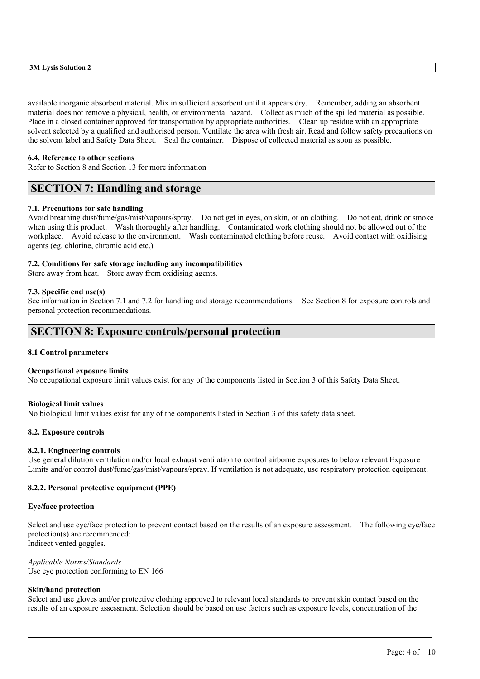available inorganic absorbent material. Mix in sufficient absorbent until it appears dry. Remember, adding an absorbent material does not remove a physical, health, or environmental hazard. Collect as much of the spilled material as possible. Place in a closed container approved for transportation by appropriate authorities. Clean up residue with an appropriate solvent selected by a qualified and authorised person. Ventilate the area with fresh air. Read and follow safety precautions on the solvent label and Safety Data Sheet. Seal the container. Dispose of collected material as soon as possible.

#### **6.4. Reference to other sections**

Refer to Section 8 and Section 13 for more information

### **SECTION 7: Handling and storage**

#### **7.1. Precautions for safe handling**

Avoid breathing dust/fume/gas/mist/vapours/spray. Do not get in eyes, on skin, or on clothing. Do not eat, drink or smoke when using this product. Wash thoroughly after handling. Contaminated work clothing should not be allowed out of the workplace. Avoid release to the environment. Wash contaminated clothing before reuse. Avoid contact with oxidising agents (eg. chlorine, chromic acid etc.)

#### **7.2. Conditions for safe storage including any incompatibilities**

Store away from heat. Store away from oxidising agents.

#### **7.3. Specific end use(s)**

See information in Section 7.1 and 7.2 for handling and storage recommendations. See Section 8 for exposure controls and personal protection recommendations.

### **SECTION 8: Exposure controls/personal protection**

#### **8.1 Control parameters**

#### **Occupational exposure limits**

No occupational exposure limit values exist for any of the components listed in Section 3 of this Safety Data Sheet.

#### **Biological limit values**

No biological limit values exist for any of the components listed in Section 3 of this safety data sheet.

#### **8.2. Exposure controls**

#### **8.2.1. Engineering controls**

Use general dilution ventilation and/or local exhaust ventilation to control airborne exposures to below relevant Exposure Limits and/or control dust/fume/gas/mist/vapours/spray. If ventilation is not adequate, use respiratory protection equipment.

#### **8.2.2. Personal protective equipment (PPE)**

#### **Eye/face protection**

Select and use eye/face protection to prevent contact based on the results of an exposure assessment. The following eye/face protection(s) are recommended: Indirect vented goggles.

*Applicable Norms/Standards* Use eye protection conforming to EN 166

#### **Skin/hand protection**

Select and use gloves and/or protective clothing approved to relevant local standards to prevent skin contact based on the results of an exposure assessment. Selection should be based on use factors such as exposure levels, concentration of the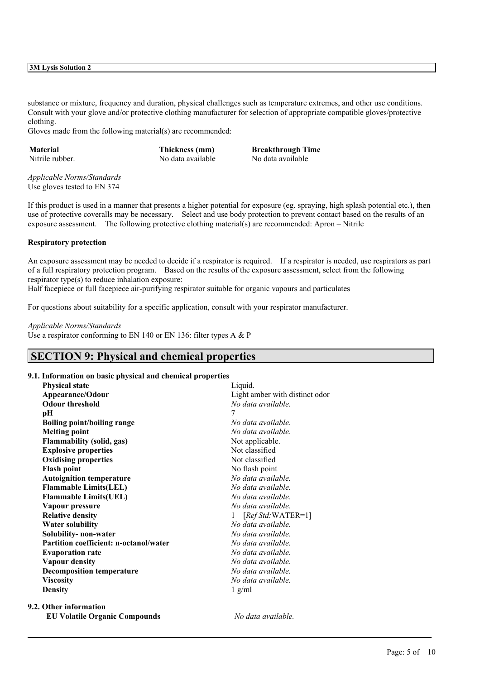substance or mixture, frequency and duration, physical challenges such as temperature extremes, and other use conditions. Consult with your glove and/or protective clothing manufacturer for selection of appropriate compatible gloves/protective clothing.

Gloves made from the following material(s) are recommended:

**Material Thickness (mm) Breakthrough Time** Nitrile rubber. No data available No data available

*Applicable Norms/Standards* Use gloves tested to EN 374

If this product is used in a manner that presents a higher potential for exposure (eg. spraying, high splash potential etc.), then use of protective coveralls may be necessary. Select and use body protection to prevent contact based on the results of an exposure assessment. The following protective clothing material(s) are recommended: Apron – Nitrile

#### **Respiratory protection**

An exposure assessment may be needed to decide if a respirator is required. If a respirator is needed, use respirators as part of a full respiratory protection program. Based on the results of the exposure assessment, select from the following respirator type(s) to reduce inhalation exposure:

 $\mathcal{L}_\mathcal{L} = \mathcal{L}_\mathcal{L} = \mathcal{L}_\mathcal{L} = \mathcal{L}_\mathcal{L} = \mathcal{L}_\mathcal{L} = \mathcal{L}_\mathcal{L} = \mathcal{L}_\mathcal{L} = \mathcal{L}_\mathcal{L} = \mathcal{L}_\mathcal{L} = \mathcal{L}_\mathcal{L} = \mathcal{L}_\mathcal{L} = \mathcal{L}_\mathcal{L} = \mathcal{L}_\mathcal{L} = \mathcal{L}_\mathcal{L} = \mathcal{L}_\mathcal{L} = \mathcal{L}_\mathcal{L} = \mathcal{L}_\mathcal{L}$ 

Half facepiece or full facepiece air-purifying respirator suitable for organic vapours and particulates

For questions about suitability for a specific application, consult with your respirator manufacturer.

#### *Applicable Norms/Standards*

Use a respirator conforming to EN 140 or EN 136: filter types A & P

# **SECTION 9: Physical and chemical properties**

#### **9.1. Information on basic physical and chemical properties**

| <b>Physical state</b>                  | Liquid.                        |
|----------------------------------------|--------------------------------|
| Appearance/Odour                       | Light amber with distinct odor |
| <b>Odour threshold</b>                 | No data available.             |
| pН                                     | 7                              |
| <b>Boiling point/boiling range</b>     | No data available.             |
| <b>Melting point</b>                   | No data available.             |
| <b>Flammability (solid, gas)</b>       | Not applicable.                |
| <b>Explosive properties</b>            | Not classified                 |
| <b>Oxidising properties</b>            | Not classified                 |
| <b>Flash point</b>                     | No flash point                 |
| <b>Autoignition temperature</b>        | No data available.             |
| <b>Flammable Limits(LEL)</b>           | No data available.             |
| <b>Flammable Limits(UEL)</b>           | No data available.             |
| Vapour pressure                        | No data available.             |
| <b>Relative density</b>                | $[RefStd:WATER=1]$             |
| <b>Water solubility</b>                | No data available.             |
| Solubility-non-water                   | No data available.             |
| Partition coefficient: n-octanol/water | No data available.             |
| <b>Evaporation rate</b>                | No data available.             |
| <b>Vapour density</b>                  | No data available.             |
| <b>Decomposition temperature</b>       | No data available.             |
| <b>Viscosity</b>                       | No data available.             |
| <b>Density</b>                         | $1$ g/ml                       |
| 9.2. Other information                 |                                |
| <b>EU Volatile Organic Compounds</b>   | No data available.             |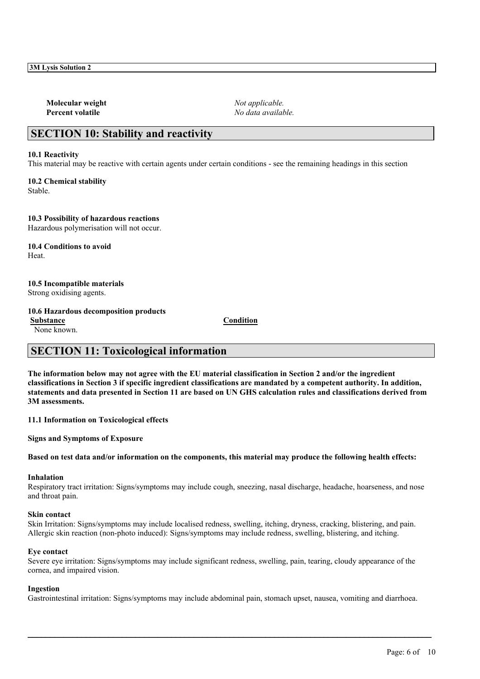**Molecular weight** *Not applicable.* **Percent volatile** *No data available.*

# **SECTION 10: Stability and reactivity**

#### **10.1 Reactivity**

This material may be reactive with certain agents under certain conditions - see the remaining headings in this section

**10.2 Chemical stability** Stable.

**10.3 Possibility of hazardous reactions** Hazardous polymerisation will not occur.

**10.4 Conditions to avoid** Heat.

#### **10.5 Incompatible materials** Strong oxidising agents.

#### **10.6 Hazardous decomposition products**

**Substance Condition**

None known.

# **SECTION 11: Toxicological information**

The information below may not agree with the EU material classification in Section 2 and/or the ingredient classifications in Section 3 if specific ingredient classifications are mandated by a competent authority. In addition, statements and data presented in Section 11 are based on UN GHS calculation rules and classifications derived from **3M assessments.**

**11.1 Information on Toxicological effects**

**Signs and Symptoms of Exposure**

Based on test data and/or information on the components, this material may produce the following health effects:

#### **Inhalation**

Respiratory tract irritation: Signs/symptoms may include cough, sneezing, nasal discharge, headache, hoarseness, and nose and throat pain.

#### **Skin contact**

Skin Irritation: Signs/symptoms may include localised redness, swelling, itching, dryness, cracking, blistering, and pain. Allergic skin reaction (non-photo induced): Signs/symptoms may include redness, swelling, blistering, and itching.

#### **Eye contact**

Severe eye irritation: Signs/symptoms may include significant redness, swelling, pain, tearing, cloudy appearance of the cornea, and impaired vision.

#### **Ingestion**

Gastrointestinal irritation: Signs/symptoms may include abdominal pain, stomach upset, nausea, vomiting and diarrhoea.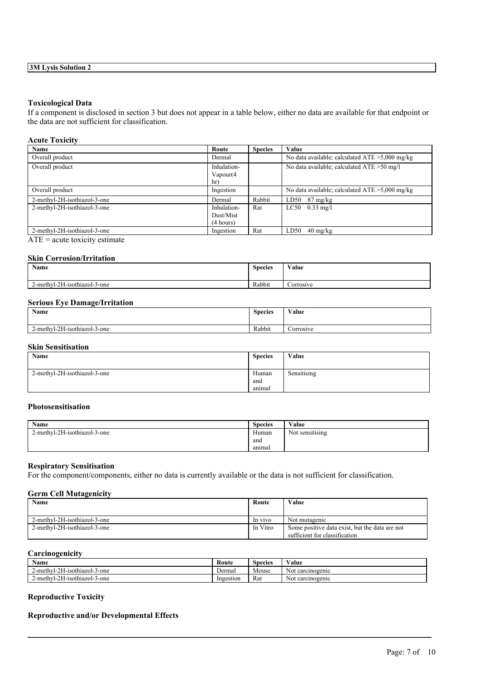#### **Toxicological Data**

If a component is disclosed in section 3 but does not appear in a table below, either no data are available for that endpoint or the data are not sufficient for classification.

| <b>Acute Toxicity</b>        |                                       |                |                                                   |
|------------------------------|---------------------------------------|----------------|---------------------------------------------------|
| Name                         | Route                                 | <b>Species</b> | Value                                             |
| Overall product              | Dermal                                |                | No data available; calculated $ATE > 5,000$ mg/kg |
| Overall product              | Inhalation-<br>Vapour(4)<br>hr)       |                | No data available; calculated ATE > 50 mg/l       |
| Overall product              | Ingestion                             |                | No data available; calculated $ATE > 5,000$ mg/kg |
| 2-methyl-2H-isothiazol-3-one | Dermal                                | Rabbit         | LD50<br>$87 \text{ mg/kg}$                        |
| 2-methyl-2H-isothiazol-3-one | Inhalation-<br>Dust/Mist<br>(4 hours) | Rat            | $LC50$ 0.33 mg/l                                  |
| 2-methyl-2H-isothiazol-3-one | Ingestion                             | Rat            | $40 \text{ mg/kg}$<br>LD50                        |

 $ATE = acute$  toxicity estimate

#### **Skin Corrosion/Irritation**

| <b>Name</b>                  | <b>Species</b> | Value     |
|------------------------------|----------------|-----------|
| 2-methyl-2H-isothiazol-3-one | Rabbit         | Corrosive |

#### **Serious Eye Damage/Irritation**

| Name                         | <b>Species</b> | Value     |
|------------------------------|----------------|-----------|
| 2-methyl-2H-isothiazol-3-one | Rabbit         | Corrosive |

### **Skin Sensitisation**

| Name                         | <b>Species</b> | Value       |
|------------------------------|----------------|-------------|
|                              |                |             |
| 2-methyl-2H-isothiazol-3-one | Human          | Sensitising |
|                              | and            |             |
|                              | anımal         |             |

#### **Photosensitisation**

| Name                         | <b>Species</b> | Value           |
|------------------------------|----------------|-----------------|
| 2-methyl-2H-isothiazol-3-one | Human          | Not sensitising |
|                              | and            |                 |
|                              | anımal         |                 |

#### **Respiratory Sensitisation**

For the component/components, either no data is currently available or the data is not sufficient for classification.

#### **Germ Cell Mutagenicity**

| Name                         | Route    | Value                                                                           |
|------------------------------|----------|---------------------------------------------------------------------------------|
| 2-methyl-2H-isothiazol-3-one | In vivo  | Not mutagenic                                                                   |
| 2-methyl-2H-isothiazol-3-one | In Vitro | Some positive data exist, but the data are not<br>sufficient for classification |

### **Carcinogenicity**

| <b>Name</b>                  | Route     | <b>Species</b> | Value            |
|------------------------------|-----------|----------------|------------------|
| 2-methyl-2H-isothiazol-3-one | Dermal    | Mouse          | Not carcinogenic |
| 2-methyl-2H-isothiazol-3-one | Ingestion | Rat            | Not carcinogenic |

 $\mathcal{L}_\mathcal{L} = \mathcal{L}_\mathcal{L} = \mathcal{L}_\mathcal{L} = \mathcal{L}_\mathcal{L} = \mathcal{L}_\mathcal{L} = \mathcal{L}_\mathcal{L} = \mathcal{L}_\mathcal{L} = \mathcal{L}_\mathcal{L} = \mathcal{L}_\mathcal{L} = \mathcal{L}_\mathcal{L} = \mathcal{L}_\mathcal{L} = \mathcal{L}_\mathcal{L} = \mathcal{L}_\mathcal{L} = \mathcal{L}_\mathcal{L} = \mathcal{L}_\mathcal{L} = \mathcal{L}_\mathcal{L} = \mathcal{L}_\mathcal{L}$ 

### **Reproductive Toxicity**

#### **Reproductive and/or Developmental Effects**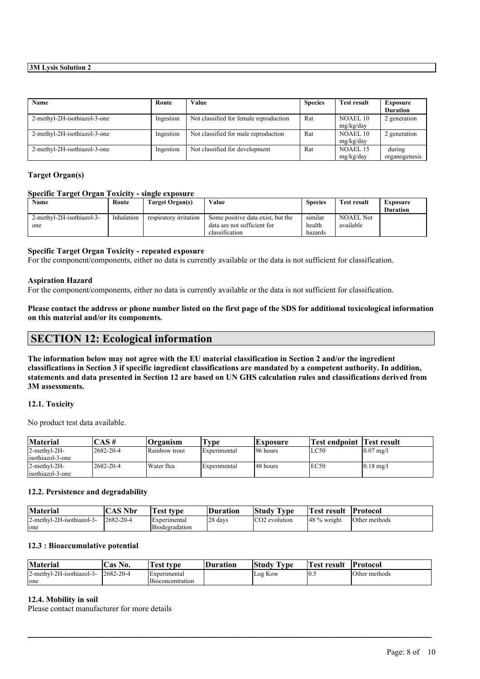| Name                         | Route     | Value                                  | <b>Species</b> | <b>Test result</b> | <b>Exposure</b> |
|------------------------------|-----------|----------------------------------------|----------------|--------------------|-----------------|
|                              |           |                                        |                |                    | <b>Duration</b> |
| 2-methyl-2H-isothiazol-3-one | Ingestion | Not classified for female reproduction | Rat            | NOAEL 10           | 2 generation    |
|                              |           |                                        |                | mg/kg/day          |                 |
| 2-methyl-2H-isothiazol-3-one | Ingestion | Not classified for male reproduction   | Rat            | <b>NOAEL 10</b>    | 2 generation    |
|                              |           |                                        |                | mg/kg/day          |                 |
| 2-methyl-2H-isothiazol-3-one | Ingestion | Not classified for development         | Rat            | NOAEL 15           | during          |
|                              |           |                                        |                | mg/kg/day          | organogenesis   |

#### **Target Organ(s)**

#### **Specific Target Organ Toxicity - single exposure**

| <b>Name</b>               | Route      | Target Organ(s)        | Value                             | <b>Species</b> | <b>Test result</b> | Exposure        |
|---------------------------|------------|------------------------|-----------------------------------|----------------|--------------------|-----------------|
|                           |            |                        |                                   |                |                    | <b>Duration</b> |
| 2-methyl-2H-isothiazol-3- | Inhalation | respiratory irritation | Some positive data exist, but the | similar        | <b>NOAEL Not</b>   |                 |
| one                       |            |                        | data are not sufficient for       | health         | available          |                 |
|                           |            |                        | classification                    | hazards        |                    |                 |

#### **Specific Target Organ Toxicity - repeated exposure**

For the component/components, either no data is currently available or the data is not sufficient for classification.

#### **Aspiration Hazard**

For the component/components, either no data is currently available or the data is not sufficient for classification.

Please contact the address or phone number listed on the first page of the SDS for additional toxicological information **on this material and/or its components.**

### **SECTION 12: Ecological information**

The information below may not agree with the EU material classification in Section 2 and/or the ingredient classifications in Section 3 if specific ingredient classifications are mandated by a competent authority. In addition, statements and data presented in Section 12 are based on UN GHS calculation rules and classifications derived from **3M assessments.**

#### **12.1. Toxicity**

No product test data available.

| Material         | $\angle$ AS #    | Organism             | rv pe        | <b>Exposure</b> | <b>Test endpoint Test result</b> |                      |
|------------------|------------------|----------------------|--------------|-----------------|----------------------------------|----------------------|
| 2-methyl-2H-     | $12682 - 20 - 4$ | <b>Rainbow</b> trout | Experimental | 196 hours       | LC50                             | $0.07 \text{ mg}$ /l |
| isothiazol-3-one |                  |                      |              |                 |                                  |                      |
| $2$ -methyl-2H-  | 2682-20-4        | Water flea           | Experimental | 148 hours       | EC50                             | $0.18$ mg/l          |
| isothiazol-3-one |                  |                      |              |                 |                                  |                      |

#### **12.2. Persistence and degradability**

| Material                  | <b>CAS Nbr</b>   | l' <b>est type</b> | <b>Duration</b> | <b>Study</b><br>$\sim$<br>Tvpe | <b>Test result</b> | <b>Protocol</b> |
|---------------------------|------------------|--------------------|-----------------|--------------------------------|--------------------|-----------------|
| 2-methyl-2H-isothiazol-3- | $12682 - 20 - 4$ | Experimental       | 28 days         | ICO <sub>2</sub> evolution     | 148 % weight       | Other methods   |
| one                       |                  | Biodegradation     |                 |                                |                    |                 |

#### **12.3 : Bioaccumulative potential**

| <b>Material</b>           | <b>Cas No.</b>   | rest type        | <b>Duration</b> | Studv<br>--<br>' vpe | <b>fest result</b> | <b>Protocol</b> |
|---------------------------|------------------|------------------|-----------------|----------------------|--------------------|-----------------|
| 2-methyl-2H-isothiazol-3- | $12682 - 20 - 4$ | Experimental     |                 | Log Kow              | 10.5               | Other methods   |
| one                       |                  | Bioconcentration |                 |                      |                    |                 |

 $\mathcal{L}_\mathcal{L} = \mathcal{L}_\mathcal{L} = \mathcal{L}_\mathcal{L} = \mathcal{L}_\mathcal{L} = \mathcal{L}_\mathcal{L} = \mathcal{L}_\mathcal{L} = \mathcal{L}_\mathcal{L} = \mathcal{L}_\mathcal{L} = \mathcal{L}_\mathcal{L} = \mathcal{L}_\mathcal{L} = \mathcal{L}_\mathcal{L} = \mathcal{L}_\mathcal{L} = \mathcal{L}_\mathcal{L} = \mathcal{L}_\mathcal{L} = \mathcal{L}_\mathcal{L} = \mathcal{L}_\mathcal{L} = \mathcal{L}_\mathcal{L}$ 

#### **12.4. Mobility in soil**

Please contact manufacturer for more details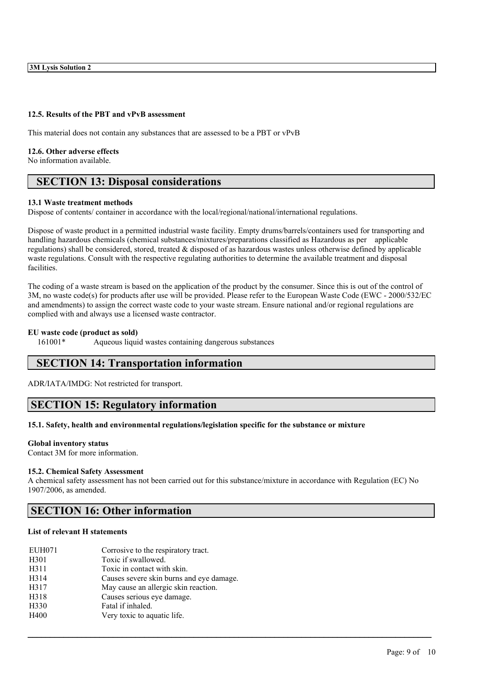#### **12.5. Results of the PBT and vPvB assessment**

This material does not contain any substances that are assessed to be a PBT or vPvB

#### **12.6. Other adverse effects**

No information available.

# **SECTION 13: Disposal considerations**

#### **13.1 Waste treatment methods**

Dispose of contents/ container in accordance with the local/regional/national/international regulations.

Dispose of waste product in a permitted industrial waste facility. Empty drums/barrels/containers used for transporting and handling hazardous chemicals (chemical substances/mixtures/preparations classified as Hazardous as per applicable regulations) shall be considered, stored, treated & disposed of as hazardous wastes unless otherwise defined by applicable waste regulations. Consult with the respective regulating authorities to determine the available treatment and disposal facilities.

The coding of a waste stream is based on the application of the product by the consumer. Since this is out of the control of 3M, no waste code(s) for products after use will be provided. Please refer to the European Waste Code (EWC - 2000/532/EC and amendments) to assign the correct waste code to your waste stream. Ensure national and/or regional regulations are complied with and always use a licensed waste contractor.

#### **EU waste code (product as sold)**

161001\* Aqueous liquid wastes containing dangerous substances

# **SECTION 14: Transportation information**

ADR/IATA/IMDG: Not restricted for transport.

# **SECTION 15: Regulatory information**

#### **15.1. Safety, health and environmental regulations/legislation specific for the substance or mixture**

#### **Global inventory status**

Contact 3M for more information.

#### **15.2. Chemical Safety Assessment**

A chemical safety assessment has not been carried out for this substance/mixture in accordance with Regulation (EC) No 1907/2006, as amended.

 $\mathcal{L}_\mathcal{L} = \mathcal{L}_\mathcal{L} = \mathcal{L}_\mathcal{L} = \mathcal{L}_\mathcal{L} = \mathcal{L}_\mathcal{L} = \mathcal{L}_\mathcal{L} = \mathcal{L}_\mathcal{L} = \mathcal{L}_\mathcal{L} = \mathcal{L}_\mathcal{L} = \mathcal{L}_\mathcal{L} = \mathcal{L}_\mathcal{L} = \mathcal{L}_\mathcal{L} = \mathcal{L}_\mathcal{L} = \mathcal{L}_\mathcal{L} = \mathcal{L}_\mathcal{L} = \mathcal{L}_\mathcal{L} = \mathcal{L}_\mathcal{L}$ 

### **SECTION 16: Other information**

#### **List of relevant H statements**

| <b>EUH071</b>    | Corrosive to the respiratory tract.      |
|------------------|------------------------------------------|
| H <sub>301</sub> | Toxic if swallowed.                      |
| H311             | Toxic in contact with skin.              |
| H314             | Causes severe skin burns and eye damage. |
| H317             | May cause an allergic skin reaction.     |
| H318             | Causes serious eye damage.               |
| H <sub>330</sub> | Fatal if inhaled.                        |
| H400             | Very toxic to aquatic life.              |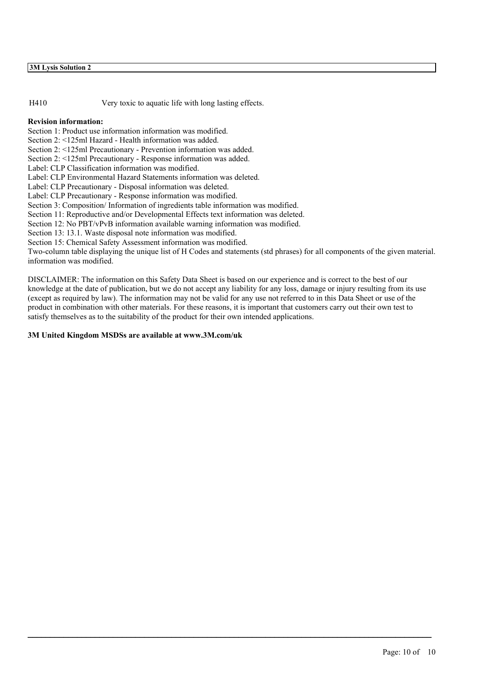H410 Very toxic to aquatic life with long lasting effects.

#### **Revision information:**

Section 1: Product use information information was modified.

Section 2: <125ml Hazard - Health information was added.

Section 2: <125ml Precautionary - Prevention information was added.

Section 2: <125ml Precautionary - Response information was added.

Label: CLP Classification information was modified.

Label: CLP Environmental Hazard Statements information was deleted.

Label: CLP Precautionary - Disposal information was deleted.

Label: CLP Precautionary - Response information was modified.

Section 3: Composition/ Information of ingredients table information was modified.

Section 11: Reproductive and/or Developmental Effects text information was deleted.

Section 12: No PBT/vPvB information available warning information was modified.

Section 13: 13.1. Waste disposal note information was modified.

Section 15: Chemical Safety Assessment information was modified.

Two-column table displaying the unique list of H Codes and statements (std phrases) for all components of the given material. information was modified.

DISCLAIMER: The information on this Safety Data Sheet is based on our experience and is correct to the best of our knowledge at the date of publication, but we do not accept any liability for any loss, damage or injury resulting from its use (except as required by law). The information may not be valid for any use not referred to in this Data Sheet or use of the product in combination with other materials. For these reasons, it is important that customers carry out their own test to satisfy themselves as to the suitability of the product for their own intended applications.

 $\mathcal{L}_\mathcal{L} = \mathcal{L}_\mathcal{L} = \mathcal{L}_\mathcal{L} = \mathcal{L}_\mathcal{L} = \mathcal{L}_\mathcal{L} = \mathcal{L}_\mathcal{L} = \mathcal{L}_\mathcal{L} = \mathcal{L}_\mathcal{L} = \mathcal{L}_\mathcal{L} = \mathcal{L}_\mathcal{L} = \mathcal{L}_\mathcal{L} = \mathcal{L}_\mathcal{L} = \mathcal{L}_\mathcal{L} = \mathcal{L}_\mathcal{L} = \mathcal{L}_\mathcal{L} = \mathcal{L}_\mathcal{L} = \mathcal{L}_\mathcal{L}$ 

#### **3M United Kingdom MSDSs are available at www.3M.com/uk**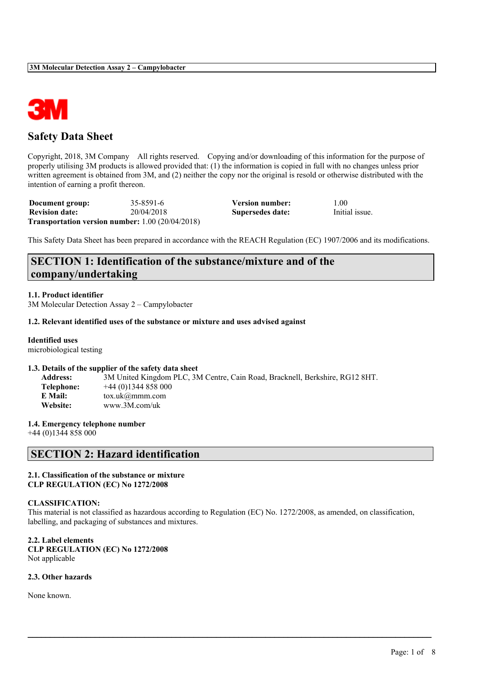

# **Safety Data Sheet**

Copyright, 2018, 3M Company All rights reserved. Copying and/or downloading of this information for the purpose of properly utilising 3M products is allowed provided that: (1) the information is copied in full with no changes unless prior written agreement is obtained from 3M, and (2) neither the copy nor the original is resold or otherwise distributed with the intention of earning a profit thereon.

| Document group:       | 35-8591-6                                                 | Version number:  | 1.00           |
|-----------------------|-----------------------------------------------------------|------------------|----------------|
| <b>Revision date:</b> | 20/04/2018                                                | Supersedes date: | Initial issue. |
|                       | <b>Transportation version number:</b> $1.00 (20/04/2018)$ |                  |                |

This Safety Data Sheet has been prepared in accordance with the REACH Regulation (EC) 1907/2006 and its modifications.

# **SECTION 1: Identification of the substance/mixture and of the company/undertaking**

#### **1.1. Product identifier**

3M Molecular Detection Assay 2 – Campylobacter

#### **1.2. Relevant identified uses of the substance or mixture and uses advised against**

### **Identified uses**

microbiological testing

#### **1.3. Details of the supplier of the safety data sheet**

| <b>Address:</b> | 3M United Kingdom PLC, 3M Centre, Cain Road, Bracknell, Berkshire, RG12 8HT. |
|-----------------|------------------------------------------------------------------------------|
| Telephone:      | $+44(0)1344858000$                                                           |
| E Mail:         | $\text{tox.uk}(\omega$ mmm.com                                               |
| Website:        | www.3M.com/uk                                                                |

#### **1.4. Emergency telephone number**

+44 (0)1344 858 000

# **SECTION 2: Hazard identification**

#### **2.1. Classification of the substance or mixture CLP REGULATION (EC) No 1272/2008**

#### **CLASSIFICATION:**

This material is not classified as hazardous according to Regulation (EC) No. 1272/2008, as amended, on classification, labelling, and packaging of substances and mixtures.

 $\mathcal{L}_\mathcal{L} = \mathcal{L}_\mathcal{L} = \mathcal{L}_\mathcal{L} = \mathcal{L}_\mathcal{L} = \mathcal{L}_\mathcal{L} = \mathcal{L}_\mathcal{L} = \mathcal{L}_\mathcal{L} = \mathcal{L}_\mathcal{L} = \mathcal{L}_\mathcal{L} = \mathcal{L}_\mathcal{L} = \mathcal{L}_\mathcal{L} = \mathcal{L}_\mathcal{L} = \mathcal{L}_\mathcal{L} = \mathcal{L}_\mathcal{L} = \mathcal{L}_\mathcal{L} = \mathcal{L}_\mathcal{L} = \mathcal{L}_\mathcal{L}$ 

**2.2. Label elements CLP REGULATION (EC) No 1272/2008** Not applicable

#### **2.3. Other hazards**

None known.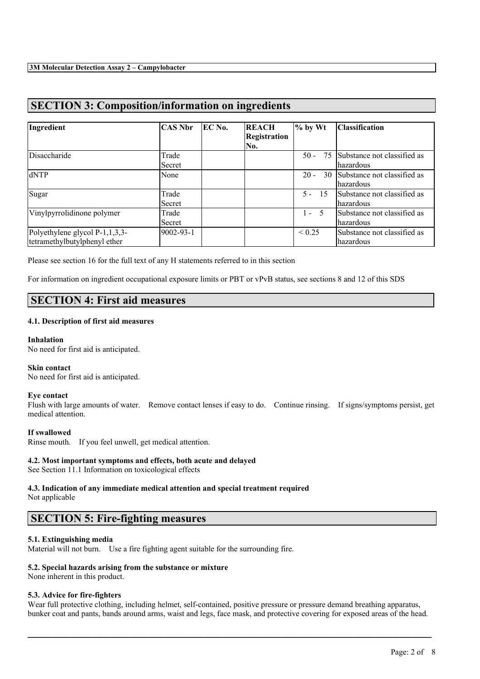# **SECTION 3: Composition/information on ingredients**

| Ingredient                     | <b>CAS Nbr</b> | EC No. | <b>REACH</b>        | $\%$ by Wt   | <b>Classification</b>       |
|--------------------------------|----------------|--------|---------------------|--------------|-----------------------------|
|                                |                |        | <b>Registration</b> |              |                             |
|                                |                |        | No.                 |              |                             |
| Disaccharide                   | Trade          |        |                     | $50 -$<br>75 | Substance not classified as |
|                                | Secret         |        |                     |              | lhazardous                  |
| dNTP                           | None           |        |                     | $20 -$<br>30 | Substance not classified as |
|                                |                |        |                     |              | lhazardous                  |
| Sugar                          | Trade          |        |                     | $5 - 15$     | Substance not classified as |
|                                | Secret         |        |                     |              | lhazardous                  |
| Vinylpyrrolidinone polymer     | Trade          |        |                     | $1 - 5$      | Substance not classified as |
|                                | Secret         |        |                     |              | lhazardous                  |
| Polyethylene glycol P-1,1,3,3- | 9002-93-1      |        |                     | ${}< 0.25$   | Substance not classified as |
| tetramethylbutylphenyl ether   |                |        |                     |              | lhazardous                  |

Please see section 16 for the full text of any H statements referred to in this section

For information on ingredient occupational exposure limits or PBT or vPvB status, see sections 8 and 12 of this SDS

### **SECTION 4: First aid measures**

#### **4.1. Description of first aid measures**

#### **Inhalation**

No need for first aid is anticipated.

#### **Skin contact**

No need for first aid is anticipated.

#### **Eye contact**

Flush with large amounts of water. Remove contact lenses if easy to do. Continue rinsing. If signs/symptoms persist, get medical attention.

#### **If swallowed**

Rinse mouth. If you feel unwell, get medical attention.

#### **4.2. Most important symptoms and effects, both acute and delayed**

See Section 11.1 Information on toxicological effects

# **4.3. Indication of any immediate medical attention and special treatment required**

Not applicable

# **SECTION 5: Fire-fighting measures**

#### **5.1. Extinguishing media**

Material will not burn. Use a fire fighting agent suitable for the surrounding fire.

#### **5.2. Special hazards arising from the substance or mixture**

None inherent in this product.

#### **5.3. Advice for fire-fighters**

Wear full protective clothing, including helmet, self-contained, positive pressure or pressure demand breathing apparatus, bunker coat and pants, bands around arms, waist and legs, face mask, and protective covering for exposed areas of the head.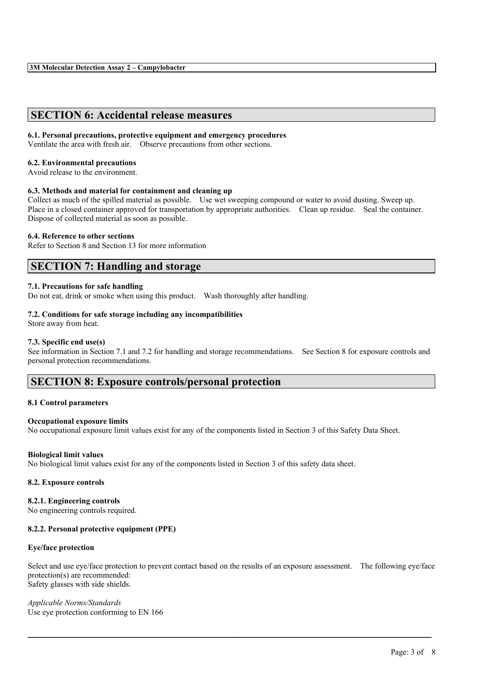# **SECTION 6: Accidental release measures**

#### **6.1. Personal precautions, protective equipment and emergency procedures**

Ventilate the area with fresh air. Observe precautions from other sections.

#### **6.2. Environmental precautions**

Avoid release to the environment.

#### **6.3. Methods and material for containment and cleaning up**

Collect as much of the spilled material as possible. Use wet sweeping compound or water to avoid dusting. Sweep up. Place in a closed container approved for transportation by appropriate authorities. Clean up residue. Seal the container. Dispose of collected material as soon as possible.

#### **6.4. Reference to other sections**

Refer to Section 8 and Section 13 for more information

### **SECTION 7: Handling and storage**

#### **7.1. Precautions for safe handling**

Do not eat, drink or smoke when using this product. Wash thoroughly after handling.

#### **7.2. Conditions for safe storage including any incompatibilities**

Store away from heat.

#### **7.3. Specific end use(s)**

See information in Section 7.1 and 7.2 for handling and storage recommendations. See Section 8 for exposure controls and personal protection recommendations.

### **SECTION 8: Exposure controls/personal protection**

#### **8.1 Control parameters**

#### **Occupational exposure limits**

No occupational exposure limit values exist for any of the components listed in Section 3 of this Safety Data Sheet.

#### **Biological limit values**

No biological limit values exist for any of the components listed in Section 3 of this safety data sheet.

#### **8.2. Exposure controls**

#### **8.2.1. Engineering controls**

No engineering controls required.

#### **8.2.2. Personal protective equipment (PPE)**

#### **Eye/face protection**

Select and use eye/face protection to prevent contact based on the results of an exposure assessment. The following eye/face protection(s) are recommended: Safety glasses with side shields.

 $\mathcal{L}_\mathcal{L} = \mathcal{L}_\mathcal{L} = \mathcal{L}_\mathcal{L} = \mathcal{L}_\mathcal{L} = \mathcal{L}_\mathcal{L} = \mathcal{L}_\mathcal{L} = \mathcal{L}_\mathcal{L} = \mathcal{L}_\mathcal{L} = \mathcal{L}_\mathcal{L} = \mathcal{L}_\mathcal{L} = \mathcal{L}_\mathcal{L} = \mathcal{L}_\mathcal{L} = \mathcal{L}_\mathcal{L} = \mathcal{L}_\mathcal{L} = \mathcal{L}_\mathcal{L} = \mathcal{L}_\mathcal{L} = \mathcal{L}_\mathcal{L}$ 

*Applicable Norms/Standards* Use eye protection conforming to EN 166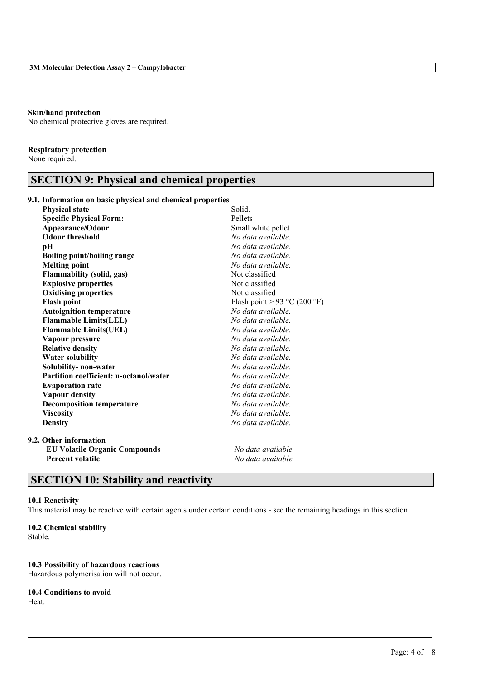#### **Skin/hand protection**

No chemical protective gloves are required.

#### **Respiratory protection**

None required.

# **SECTION 9: Physical and chemical properties**

### **9.1. Information on basic physical and chemical properties**

| <b>Physical state</b>                         | Solid.                       |
|-----------------------------------------------|------------------------------|
| <b>Specific Physical Form:</b>                | Pellets                      |
| Appearance/Odour                              | Small white pellet           |
| <b>Odour threshold</b>                        | No data available.           |
| рH                                            | No data available.           |
| <b>Boiling point/boiling range</b>            | No data available.           |
| <b>Melting point</b>                          | No data available.           |
| <b>Flammability (solid, gas)</b>              | Not classified               |
| <b>Explosive properties</b>                   | Not classified               |
| <b>Oxidising properties</b>                   | Not classified               |
| <b>Flash point</b>                            | Flash point > 93 °C (200 °F) |
| <b>Autoignition temperature</b>               | No data available.           |
| <b>Flammable Limits(LEL)</b>                  | No data available.           |
| <b>Flammable Limits(UEL)</b>                  | No data available.           |
| Vapour pressure                               | No data available.           |
| <b>Relative density</b>                       | No data available.           |
| <b>Water solubility</b>                       | No data available.           |
| Solubility- non-water                         | No data available.           |
| <b>Partition coefficient: n-octanol/water</b> | No data available.           |
| <b>Evaporation rate</b>                       | No data available.           |
| Vapour density                                | No data available.           |
| <b>Decomposition temperature</b>              | No data available.           |
| <b>Viscosity</b>                              | No data available.           |
| <b>Density</b>                                | No data available.           |
| 9.2. Other information                        |                              |
| <b>EU Volatile Organic Compounds</b>          | No data available.           |
| <b>Percent volatile</b>                       | No data available.           |
|                                               |                              |

# **SECTION 10: Stability and reactivity**

#### **10.1 Reactivity**

This material may be reactive with certain agents under certain conditions - see the remaining headings in this section

 $\mathcal{L}_\mathcal{L} = \mathcal{L}_\mathcal{L} = \mathcal{L}_\mathcal{L} = \mathcal{L}_\mathcal{L} = \mathcal{L}_\mathcal{L} = \mathcal{L}_\mathcal{L} = \mathcal{L}_\mathcal{L} = \mathcal{L}_\mathcal{L} = \mathcal{L}_\mathcal{L} = \mathcal{L}_\mathcal{L} = \mathcal{L}_\mathcal{L} = \mathcal{L}_\mathcal{L} = \mathcal{L}_\mathcal{L} = \mathcal{L}_\mathcal{L} = \mathcal{L}_\mathcal{L} = \mathcal{L}_\mathcal{L} = \mathcal{L}_\mathcal{L}$ 

#### **10.2 Chemical stability**

Stable.

#### **10.3 Possibility of hazardous reactions**

Hazardous polymerisation will not occur.

#### **10.4 Conditions to avoid**

Heat.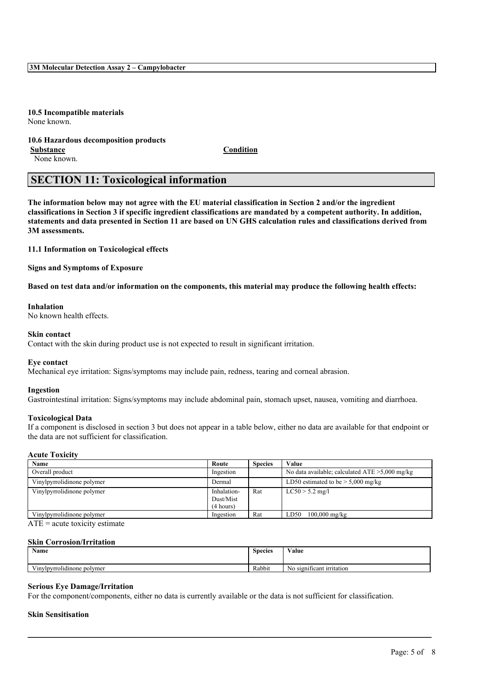**3M Molecular Detection Assay 2 – Campylobacter**

**10.5 Incompatible materials** None known.

### **10.6 Hazardous decomposition products**

**Substance Condition**

None known.

### **SECTION 11: Toxicological information**

The information below may not agree with the EU material classification in Section 2 and/or the ingredient classifications in Section 3 if specific ingredient classifications are mandated by a competent authority. In addition, statements and data presented in Section 11 are based on UN GHS calculation rules and classifications derived from **3M assessments.**

**11.1 Information on Toxicological effects**

**Signs and Symptoms of Exposure**

Based on test data and/or information on the components, this material may produce the following health effects:

#### **Inhalation**

No known health effects.

#### **Skin contact**

Contact with the skin during product use is not expected to result in significant irritation.

#### **Eye contact**

Mechanical eye irritation: Signs/symptoms may include pain, redness, tearing and corneal abrasion.

#### **Ingestion**

Gastrointestinal irritation: Signs/symptoms may include abdominal pain, stomach upset, nausea, vomiting and diarrhoea.

#### **Toxicological Data**

If a component is disclosed in section 3 but does not appear in a table below, either no data are available for that endpoint or the data are not sufficient for classification.

#### **Acute Toxicity**

| Route       | <b>Species</b> | Value                                             |
|-------------|----------------|---------------------------------------------------|
| Ingestion   |                | No data available; calculated $ATE > 5,000$ mg/kg |
| Dermal      |                | LD50 estimated to be $> 5,000$ mg/kg              |
| Inhalation- | Rat            | $LC50 > 5.2$ mg/l                                 |
| Dust/Mist   |                |                                                   |
| (4 hours)   |                |                                                   |
| Ingestion   | Rat            | LD50<br>$100,000 \text{ mg/kg}$                   |
|             |                |                                                   |

 $ATE = acute$  toxicity estimate

#### **Skin Corrosion/Irritation**

| $\rightarrow$                      | $\sim$         | $X$ $Y$                      |
|------------------------------------|----------------|------------------------------|
| Name                               | <b>Species</b> | ⁄ alue                       |
| $-1$<br>√inylpyrrolidinone polymer | Rabbit         | significant irritation<br>N0 |

 $\mathcal{L}_\mathcal{L} = \mathcal{L}_\mathcal{L} = \mathcal{L}_\mathcal{L} = \mathcal{L}_\mathcal{L} = \mathcal{L}_\mathcal{L} = \mathcal{L}_\mathcal{L} = \mathcal{L}_\mathcal{L} = \mathcal{L}_\mathcal{L} = \mathcal{L}_\mathcal{L} = \mathcal{L}_\mathcal{L} = \mathcal{L}_\mathcal{L} = \mathcal{L}_\mathcal{L} = \mathcal{L}_\mathcal{L} = \mathcal{L}_\mathcal{L} = \mathcal{L}_\mathcal{L} = \mathcal{L}_\mathcal{L} = \mathcal{L}_\mathcal{L}$ 

#### **Serious Eye Damage/Irritation**

For the component/components, either no data is currently available or the data is not sufficient for classification.

#### **Skin Sensitisation**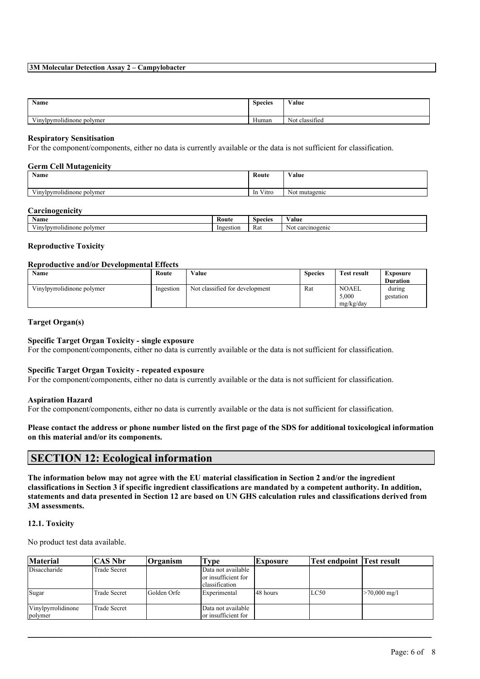#### **3M Molecular Detection Assay 2 – Campylobacter**

| Name                                                   | <b>Species</b>        | $\cdots$<br>Value        |
|--------------------------------------------------------|-----------------------|--------------------------|
| $\mathbf{v}$<br>$\cdots$<br>Vinylpyrrolidinone polymer | $\mathbf{v}$<br>Human | $\sim$<br>Not classified |

#### **Respiratory Sensitisation**

For the component/components, either no data is currently available or the data is not sufficient for classification.

### **Germ Cell Mutagenicity**

| Name                                           | Route                              | Value         |
|------------------------------------------------|------------------------------------|---------------|
| $-1$<br>$\cdots$<br>Vinylpyrrolidinone polymer | $   -$<br>V <sub>1</sub> tro<br>1n | Not mutagenic |

#### **Carcinogenicity**

| $\mathbf{X}$<br>Name                                  | Kout      | snecies | Value                                         |
|-------------------------------------------------------|-----------|---------|-----------------------------------------------|
| $ -$<br>olvme<br><br>/rrolidinone<br>w<br>--<br>. I D | Ingestion | Rat     | rcinogenic<br>N <sub>O</sub><br>n n<br>w<br>◡ |

#### **Reproductive Toxicity**

#### **Reproductive and/or Developmental Effects**

| <b>Name</b>                | Route     | Value                          | <b>Species</b> | <b>Test result</b>                 | Exposure            |
|----------------------------|-----------|--------------------------------|----------------|------------------------------------|---------------------|
|                            |           |                                |                |                                    | <b>Duration</b>     |
| Vinylpyrrolidinone polymer | Ingestion | Not classified for development | Rat            | <b>NOAEL</b><br>5.000<br>mg/kg/day | during<br>gestation |

#### **Target Organ(s)**

#### **Specific Target Organ Toxicity - single exposure**

For the component/components, either no data is currently available or the data is not sufficient for classification.

#### **Specific Target Organ Toxicity - repeated exposure**

For the component/components, either no data is currently available or the data is not sufficient for classification.

#### **Aspiration Hazard**

For the component/components, either no data is currently available or the data is not sufficient for classification.

#### Please contact the address or phone number listed on the first page of the SDS for additional toxicological information **on this material and/or its components.**

### **SECTION 12: Ecological information**

The information below may not agree with the EU material classification in Section 2 and/or the ingredient classifications in Section 3 if specific ingredient classifications are mandated by a competent authority. In addition, statements and data presented in Section 12 are based on UN GHS calculation rules and classifications derived from **3M assessments.**

#### **12.1. Toxicity**

No product test data available.

| <b>Material</b>               | CAS Nbr_            | $O$ rganism  | l'vpe                                                       | <b>Exposure</b> | <b>Test endpoint Test result</b> |                        |
|-------------------------------|---------------------|--------------|-------------------------------------------------------------|-----------------|----------------------------------|------------------------|
| Disaccharide                  | <b>Trade Secret</b> |              | Data not available<br>or insufficient for<br>classification |                 |                                  |                        |
| Sugar                         | <b>Trade Secret</b> | lGolden Orfe | Experimental                                                | 48 hours        | LC50                             | $>70,000 \text{ mg/l}$ |
| Vinylpyrrolidinone<br>polymer | <b>Γrade Secret</b> |              | Data not available<br>or insufficient for                   |                 |                                  |                        |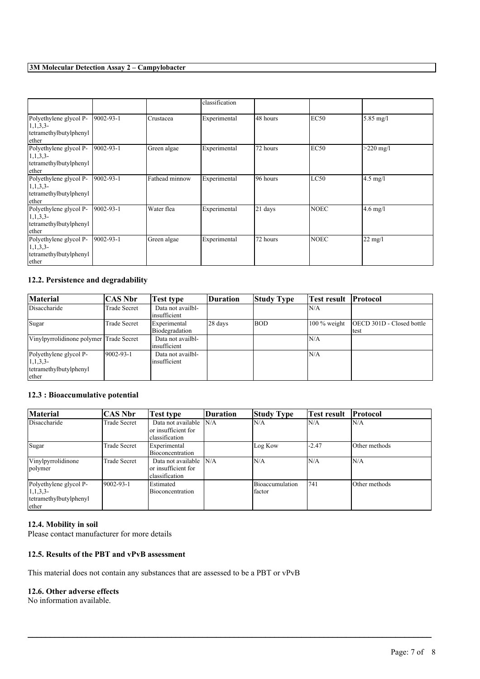### **3M Molecular Detection Assay 2 – Campylobacter**

|                                                                         |                  |                | classification |           |             |                     |
|-------------------------------------------------------------------------|------------------|----------------|----------------|-----------|-------------|---------------------|
| Polyethylene glycol P-<br>1, 1, 3, 3<br>tetramethylbutylphenyl<br>ether | $ 9002 - 93 - 1$ | Crustacea      | Experimental   | 48 hours  | <b>EC50</b> | $5.85 \text{ mg/l}$ |
| Polyethylene glycol P-<br>1, 1, 3, 3<br>tetramethylbutylphenyl<br>ether | $[9002-93-1]$    | Green algae    | Experimental   | 72 hours  | <b>EC50</b> | $>220$ mg/l         |
| Polyethylene glycol P-<br>1, 1, 3, 3<br>tetramethylbutylphenyl<br>ether | $[9002-93-1]$    | Fathead minnow | Experimental   | 96 hours  | LC50        | $4.5$ mg/l          |
| Polyethylene glycol P-<br>1, 1, 3, 3<br>tetramethylbutylphenyl<br>ether | $9002 - 93 - 1$  | Water flea     | Experimental   | $21$ days | <b>NOEC</b> | $4.6$ mg/l          |
| Polyethylene glycol P-<br>1, 1, 3, 3<br>tetramethylbutylphenyl<br>ether | $ 9002 - 93 - 1$ | Green algae    | Experimental   | 72 hours  | <b>NOEC</b> | $22 \text{ mg/l}$   |

### **12.2. Persistence and degradability**

| <b>Material</b>                                                         | CAS Nbr             | Test type                          | <b>Duration</b> | <b>Study Type</b> | Test result [Protocol] |                                   |
|-------------------------------------------------------------------------|---------------------|------------------------------------|-----------------|-------------------|------------------------|-----------------------------------|
| Disaccharide                                                            | <b>Trade Secret</b> | Data not availbl-<br>linsufficient |                 |                   | N/A                    |                                   |
| Sugar                                                                   | <b>Trade Secret</b> | Experimental<br>Biodegradation     | 28 days         | <b>BOD</b>        | $100\%$ weight         | OECD 301D - Closed bottle<br>test |
| Vinylpyrrolidinone polymer Trade Secret                                 |                     | Data not availbl-<br>linsufficient |                 |                   | N/A                    |                                   |
| Polyethylene glycol P-<br>1, 1, 3, 3<br>tetramethylbutylphenyl<br>ether | $19002 - 93 - 1$    | Data not availbl-<br>insufficient  |                 |                   | N/A                    |                                   |

### **12.3 : Bioaccumulative potential**

| <b>Material</b>                                                         | <b>CAS Nbr</b>      | Test type                                                    | Duration | <b>Study Type</b>         | Test result | <b>Protocol</b> |
|-------------------------------------------------------------------------|---------------------|--------------------------------------------------------------|----------|---------------------------|-------------|-----------------|
| Disaccharide                                                            | <b>Trade Secret</b> | Data not available<br>lor insufficient for<br>classification | N/A      | N/A                       | N/A         | N/A             |
| Sugar                                                                   | Trade Secret        | Experimental<br>Bioconcentration                             |          | Log Kow                   | $-2.47$     | Other methods   |
| Vinylpyrrolidinone<br>polymer                                           | <b>Trade Secret</b> | Data not available<br>or insufficient for<br>classification  | N/A      | N/A                       | N/A         | N/A             |
| Polyethylene glycol P-<br>1, 1, 3, 3<br>tetramethylbutylphenyl<br>ether | $19002 - 93 - 1$    | Estimated<br>Bioconcentration                                |          | Bioaccumulation<br>factor | 741         | Other methods   |

 $\mathcal{L}_\mathcal{L} = \mathcal{L}_\mathcal{L} = \mathcal{L}_\mathcal{L} = \mathcal{L}_\mathcal{L} = \mathcal{L}_\mathcal{L} = \mathcal{L}_\mathcal{L} = \mathcal{L}_\mathcal{L} = \mathcal{L}_\mathcal{L} = \mathcal{L}_\mathcal{L} = \mathcal{L}_\mathcal{L} = \mathcal{L}_\mathcal{L} = \mathcal{L}_\mathcal{L} = \mathcal{L}_\mathcal{L} = \mathcal{L}_\mathcal{L} = \mathcal{L}_\mathcal{L} = \mathcal{L}_\mathcal{L} = \mathcal{L}_\mathcal{L}$ 

### **12.4. Mobility in soil**

Please contact manufacturer for more details

### **12.5. Results of the PBT and vPvB assessment**

This material does not contain any substances that are assessed to be a PBT or vPvB

#### **12.6. Other adverse effects**

No information available.